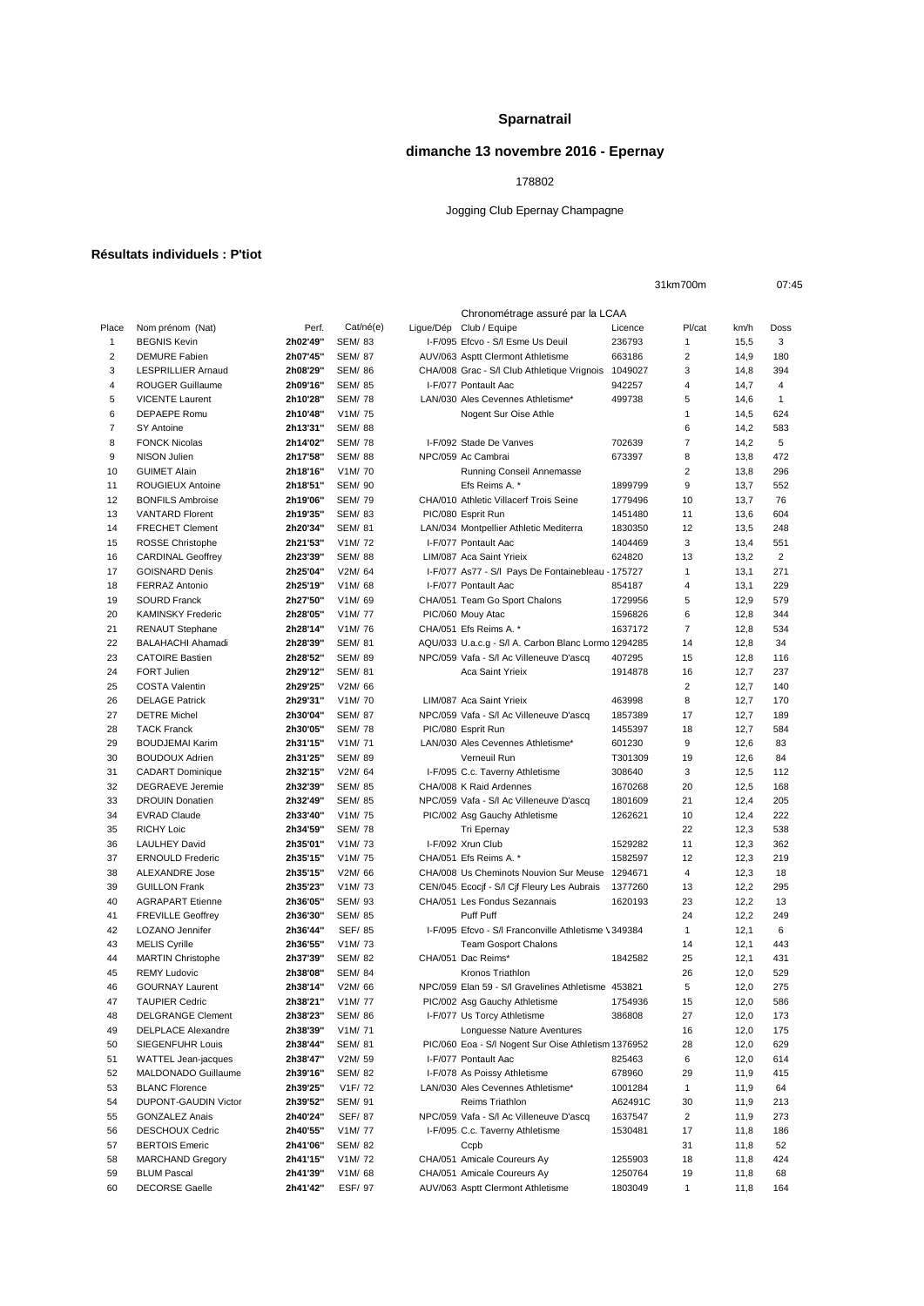## **Sparnatrail**

# **dimanche 13 novembre 2016 - Epernay**

#### 

## Jogging Club Epernay Champagne

31km700m 07:45

## **Résultats individuels : P'tiot**

|                |                                                 |                      |                   | Chronométrage assuré par la LCAA                     |         |                    |              |                |
|----------------|-------------------------------------------------|----------------------|-------------------|------------------------------------------------------|---------|--------------------|--------------|----------------|
| Place          | Nom prénom (Nat)                                | Perf.                | Cat/né(e)         | Ligue/Dép Club / Equipe                              | Licence | Pl/cat             | km/h         | Doss           |
| $\mathbf{1}$   | <b>BEGNIS Kevin</b>                             | 2h02'49"             | <b>SEM/ 83</b>    | I-F/095 Efcvo - S/I Esme Us Deuil                    | 236793  | $\mathbf{1}$       | 15,5         | 3              |
| $\overline{2}$ | <b>DEMURE Fabien</b>                            | 2h07'45"             | <b>SEM/ 87</b>    | AUV/063 Asptt Clermont Athletisme                    | 663186  | $\overline{2}$     | 14,9         | 180            |
| 3              | <b>LESPRILLIER Arnaud</b>                       | 2h08'29"             | <b>SEM/ 86</b>    | CHA/008 Grac - S/I Club Athletique Vrignois 1049027  |         | 3                  | 14,8         | 394            |
| 4              | <b>ROUGER Guillaume</b>                         | 2h09'16"             | <b>SEM/ 85</b>    | I-F/077 Pontault Aac                                 | 942257  | 4                  | 14,7         | 4              |
| 5              | <b>VICENTE Laurent</b>                          | 2h10'28"             | <b>SEM/78</b>     | LAN/030 Ales Cevennes Athletisme*                    | 499738  | 5                  | 14,6         | 1              |
| 6              | <b>DEPAEPE Romu</b>                             | 2h10'48"             | V1M/75            | Nogent Sur Oise Athle                                |         | 1                  | 14,5         | 624            |
| 7              | SY Antoine                                      | 2h13'31"             | <b>SEM/ 88</b>    |                                                      |         | 6                  | 14,2         | 583            |
| 8              | <b>FONCK Nicolas</b>                            | 2h14'02"             | <b>SEM/78</b>     | I-F/092 Stade De Vanves                              | 702639  | 7                  | 14,2         | 5              |
| 9              | NISON Julien                                    | 2h17'58"             | <b>SEM/88</b>     | NPC/059 Ac Cambrai                                   | 673397  | 8                  | 13,8         | 472            |
| 10             | <b>GUIMET Alain</b>                             | 2h18'16"             | V1M/70            | Running Conseil Annemasse                            |         | $\overline{2}$     | 13,8         | 296            |
| 11             | ROUGIEUX Antoine                                | 2h18'51"             | <b>SEM/ 90</b>    | Efs Reims A. *                                       | 1899799 | 9                  | 13,7         | 552            |
| 12             | <b>BONFILS Ambroise</b>                         | 2h19'06"             | <b>SEM/79</b>     | CHA/010 Athletic Villacerf Trois Seine               | 1779496 | 10                 | 13,7         | 76             |
| 13             | <b>VANTARD Florent</b>                          | 2h19'35"             | <b>SEM/ 83</b>    | PIC/080 Esprit Run                                   | 1451480 | 11                 | 13,6         | 604            |
| 14             | <b>FRECHET Clement</b>                          | 2h20'34"             | SEM/ 81           | LAN/034 Montpellier Athletic Mediterra               | 1830350 | 12                 | 13,5         | 248            |
| 15             | <b>ROSSE Christophe</b>                         | 2h21'53"             | V1M/72            | I-F/077 Pontault Aac                                 | 1404469 | 3                  | 13,4         | 551            |
| 16             | <b>CARDINAL Geoffrey</b>                        | 2h23'39"             | <b>SEM/ 88</b>    | LIM/087 Aca Saint Yrieix                             | 624820  | 13                 | 13,2         | $\overline{2}$ |
| 17             | <b>GOISNARD Denis</b>                           | 2h25'04"             | V2M/ 64           | I-F/077 As77 - S/I Pays De Fontainebleau - 175727    |         | $\mathbf{1}$       | 13,1         | 271            |
| 18             | <b>FERRAZ Antonio</b>                           | 2h25'19"             | V1M/68            | I-F/077 Pontault Aac                                 | 854187  | 4                  | 13,1         | 229            |
| 19             | <b>SOURD Franck</b>                             | 2h27'50"             | V1M/69            | CHA/051 Team Go Sport Chalons                        | 1729956 | 5                  | 12,9         | 579            |
| 20             | <b>KAMINSKY Frederic</b>                        | 2h28'05"             | V1M/77            | PIC/060 Mouy Atac                                    | 1596826 | 6                  | 12,8         | 344            |
| 21             | <b>RENAUT Stephane</b>                          | 2h28'14"             | V1M/76            | CHA/051 Efs Reims A. *                               | 1637172 | $\overline{7}$     | 12,8         | 534            |
| 22             | <b>BALAHACHI Ahamadi</b>                        | 2h28'39"             | <b>SEM/ 81</b>    | AQU/033 U.a.c.g - S/I A. Carbon Blanc Lormo 1294285  |         | 14                 | 12,8         | 34             |
| 23             | <b>CATOIRE Bastien</b>                          | 2h28'52"             | <b>SEM/ 89</b>    | NPC/059 Vafa - S/I Ac Villeneuve D'ascq              | 407295  | 15                 | 12,8         | 116            |
| 24             | <b>FORT Julien</b>                              | 2h29'12"             | <b>SEM/ 81</b>    | <b>Aca Saint Yrieix</b>                              | 1914878 | 16                 | 12,7         | 237            |
| 25             | <b>COSTA Valentin</b>                           | 2h29'25"             | V2M/ 66           |                                                      |         | $\overline{2}$     | 12,7         | 140            |
| 26             | <b>DELAGE Patrick</b>                           | 2h29'31"             | V1M/70            | LIM/087 Aca Saint Yrieix                             | 463998  | 8                  | 12,7         | 170            |
| 27             | <b>DETRE Michel</b>                             | 2h30'04"             | <b>SEM/ 87</b>    | NPC/059 Vafa - S/I Ac Villeneuve D'ascq              | 1857389 | 17                 | 12,7         | 189            |
| 28             | <b>TACK Franck</b>                              | 2h30'05"             | <b>SEM/78</b>     | PIC/080 Esprit Run                                   | 1455397 | 18                 | 12,7         | 584            |
| 29             | <b>BOUDJEMAI Karim</b>                          | 2h31'15"             | V1M/71            | LAN/030 Ales Cevennes Athletisme*                    | 601230  | 9                  | 12,6         | 83             |
| 30             | <b>BOUDOUX Adrien</b>                           | 2h31'25"             | <b>SEM/ 89</b>    | Verneuil Run                                         | T301309 | 19                 | 12,6         | 84             |
| 31             | <b>CADART</b> Dominique                         | 2h32'15"             | V2M/ 64           | I-F/095 C.c. Taverny Athletisme                      | 308640  | 3                  | 12,5         | 112            |
| 32             | <b>DEGRAEVE</b> Jeremie                         | 2h32'39"             | <b>SEM/ 85</b>    | CHA/008 K Raid Ardennes                              | 1670268 | 20                 | 12,5         | 168            |
| 33             | <b>DROUIN Donatien</b>                          | 2h32'49"             | <b>SEM/ 85</b>    | NPC/059 Vafa - S/I Ac Villeneuve D'ascq              | 1801609 | 21                 | 12,4         | 205            |
| 34             | <b>EVRAD Claude</b>                             | 2h33'40"             | V1M/75            | PIC/002 Asg Gauchy Athletisme                        | 1262621 | 10                 | 12,4         | 222            |
| 35             | <b>RICHY Loic</b>                               | 2h34'59"             | <b>SEM/78</b>     | Tri Epernay                                          |         | 22                 | 12,3         | 538            |
| 36             | <b>LAULHEY David</b>                            | 2h35'01"             | V1M/73            | I-F/092 Xrun Club                                    | 1529282 | 11                 | 12,3         | 362            |
| 37             | <b>ERNOULD Frederic</b>                         | 2h35'15"             | V1M/75            | CHA/051 Efs Reims A. *                               | 1582597 | 12                 | 12,3         | 219            |
| 38             | ALEXANDRE Jose                                  | 2h35'15"             | V2M/ 66           | CHA/008 Us Cheminots Nouvion Sur Meuse               | 1294671 | 4                  | 12,3         | 18             |
| 39             | <b>GUILLON Frank</b>                            | 2h35'23"             | V1M/73            | CEN/045 Ecocif - S/I Cif Fleury Les Aubrais          | 1377260 | 13                 | 12,2         | 295            |
| 40             | <b>AGRAPART Etienne</b>                         | 2h36'05"             | <b>SEM/ 93</b>    | CHA/051 Les Fondus Sezannais                         | 1620193 | 23                 | 12,2         | 13             |
| 41             | <b>FREVILLE Geoffrey</b>                        | 2h36'30"             | <b>SEM/ 85</b>    | <b>Puff Puff</b>                                     |         | 24<br>$\mathbf{1}$ | 12,2         | 249<br>6       |
| 42<br>43       | LOZANO Jennifer                                 | 2h36'44"<br>2h36'55" | SEF/ 85<br>V1M/73 | I-F/095 Efcvo - S/I Franconville Athletisme \ 349384 |         | 14                 | 12,1         | 443            |
| 44             | <b>MELIS Cyrille</b>                            | 2h37'39"             | <b>SEM/ 82</b>    | <b>Team Gosport Chalons</b><br>CHA/051 Dac Reims*    | 1842582 | 25                 | 12,1         |                |
| 45             | <b>MARTIN Christophe</b><br><b>REMY Ludovic</b> | 2h38'08"             | <b>SEM/ 84</b>    | Kronos Triathlon                                     |         | 26                 | 12,1<br>12,0 | 431<br>529     |
| 46             | <b>GOURNAY Laurent</b>                          | 2h38'14"             | V2M/ 66           | NPC/059 Elan 59 - S/I Gravelines Athletisme 453821   |         | 5                  | 12,0         | 275            |
| 47             | <b>TAUPIER Cedric</b>                           | 2h38'21"             | V1M/77            | PIC/002 Asg Gauchy Athletisme                        | 1754936 | 15                 | 12,0         | 586            |
| 48             | <b>DELGRANGE Clement</b>                        | 2h38'23"             | SEM/ 86           | I-F/077 Us Torcy Athletisme                          | 386808  | 27                 | 12,0         | 173            |
| 49             | <b>DELPLACE Alexandre</b>                       | 2h38'39"             | V1M/71            | Longuesse Nature Aventures                           |         | 16                 | 12,0         | 175            |
| 50             | SIEGENFUHR Louis                                | 2h38'44"             | SEM/ 81           | PIC/060 Eoa - S/I Nogent Sur Oise Athletism 1376952  |         | 28                 | 12,0         | 629            |
| 51             | WATTEL Jean-jacques                             | 2h38'47"             | V2M/ 59           | I-F/077 Pontault Aac                                 | 825463  | 6                  | 12,0         | 614            |
| 52             | MALDONADO Guillaume                             | 2h39'16"             | SEM/ 82           | I-F/078 As Poissy Athletisme                         | 678960  | 29                 | 11,9         | 415            |
| 53             | <b>BLANC Florence</b>                           | 2h39'25"             | V1F/72            | LAN/030 Ales Cevennes Athletisme*                    | 1001284 | $\mathbf{1}$       | 11,9         | 64             |
| 54             | DUPONT-GAUDIN Victor                            | 2h39'52"             | <b>SEM/ 91</b>    | <b>Reims Triathlon</b>                               | A62491C | 30                 | 11,9         | 213            |
| 55             | <b>GONZALEZ Anais</b>                           | 2h40'24"             | SEF/ 87           | NPC/059 Vafa - S/I Ac Villeneuve D'ascq              | 1637547 | $\overline{2}$     | 11,9         | 273            |
| 56             | <b>DESCHOUX Cedric</b>                          | 2h40'55"             | V1M/77            | I-F/095 C.c. Taverny Athletisme                      | 1530481 | 17                 | 11,8         | 186            |
| 57             | <b>BERTOIS Emeric</b>                           | 2h41'06"             | <b>SEM/ 82</b>    | Ccpb                                                 |         | 31                 | 11,8         | 52             |
| 58             | <b>MARCHAND Gregory</b>                         | 2h41'15"             | V1M/72            | CHA/051 Amicale Coureurs Ay                          | 1255903 | 18                 | 11,8         | 424            |
| 59             | <b>BLUM Pascal</b>                              | 2h41'39"             | V1M/68            | CHA/051 Amicale Coureurs Ay                          | 1250764 | 19                 | 11,8         | 68             |
| 60             | <b>DECORSE Gaelle</b>                           | 2h41'42"             | ESF/ 97           | AUV/063 Asptt Clermont Athletisme                    | 1803049 | 1                  | 11,8         | 164            |
|                |                                                 |                      |                   |                                                      |         |                    |              |                |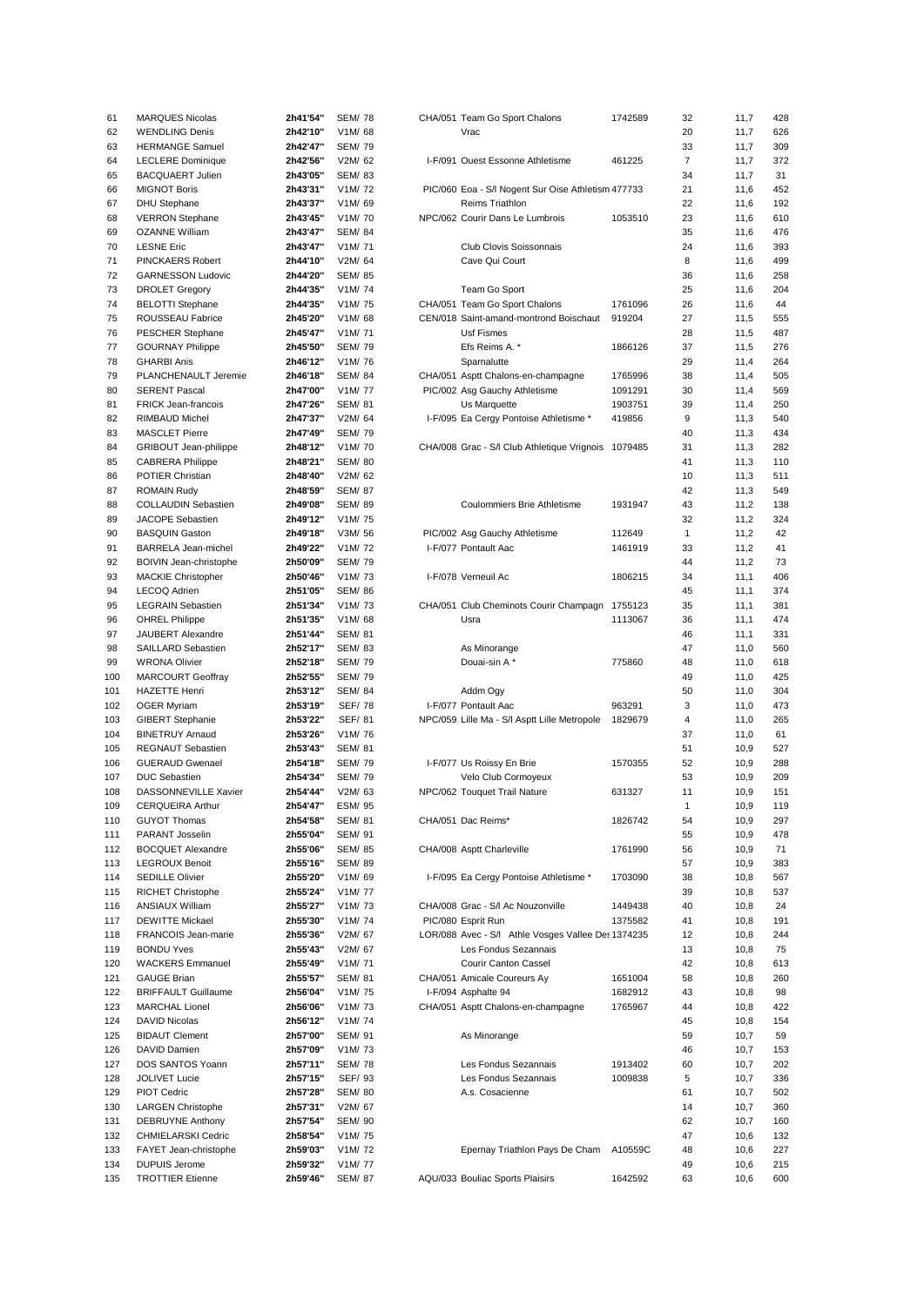| 61  | <b>MARQUES Nicolas</b>       | 2h41'54" | <b>SEM/78</b>  |  | CHA/051 Team Go Sport Chalons                       | 1742589 | 32             | 11,7 | 428 |
|-----|------------------------------|----------|----------------|--|-----------------------------------------------------|---------|----------------|------|-----|
| 62  | <b>WENDLING Denis</b>        | 2h42'10" | V1M/68         |  | Vrac                                                |         | 20             | 11,7 | 626 |
|     |                              | 2h42'47" |                |  |                                                     |         | 33             |      | 309 |
| 63  | <b>HERMANGE Samuel</b>       |          | <b>SEM/79</b>  |  |                                                     |         |                | 11,7 |     |
| 64  | <b>LECLERE Dominique</b>     | 2h42'56" | V2M/ 62        |  | I-F/091 Ouest Essonne Athletisme                    | 461225  | $\overline{7}$ | 11,7 | 372 |
| 65  | <b>BACQUAERT Julien</b>      | 2h43'05" | <b>SEM/83</b>  |  |                                                     |         | 34             | 11,7 | 31  |
| 66  | <b>MIGNOT Boris</b>          | 2h43'31" | V1M/72         |  | PIC/060 Eoa - S/I Nogent Sur Oise Athletism 477733  |         | 21             | 11,6 | 452 |
| 67  | <b>DHU Stephane</b>          | 2h43'37" | V1M/69         |  | Reims Triathlon                                     |         | 22             | 11,6 | 192 |
|     |                              | 2h43'45" |                |  | NPC/062 Courir Dans Le Lumbrois                     |         | 23             |      |     |
| 68  | <b>VERRON Stephane</b>       |          | V1M/70         |  |                                                     | 1053510 |                | 11,6 | 610 |
| 69  | <b>OZANNE William</b>        | 2h43'47" | <b>SEM/ 84</b> |  |                                                     |         | 35             | 11,6 | 476 |
| 70  | <b>LESNE Eric</b>            | 2h43'47" | V1M/71         |  | Club Clovis Soissonnais                             |         | 24             | 11,6 | 393 |
| 71  | PINCKAERS Robert             | 2h44'10" | V2M/ 64        |  | Cave Qui Court                                      |         | 8              | 11,6 | 499 |
| 72  | <b>GARNESSON Ludovic</b>     | 2h44'20" | <b>SEM/ 85</b> |  |                                                     |         | 36             | 11,6 | 258 |
|     |                              |          |                |  |                                                     |         |                |      |     |
| 73  | <b>DROLET Gregory</b>        | 2h44'35" | V1M/74         |  | Team Go Sport                                       |         | 25             | 11,6 | 204 |
| 74  | <b>BELOTTI Stephane</b>      | 2h44'35" | V1M/75         |  | CHA/051 Team Go Sport Chalons                       | 1761096 | 26             | 11,6 | 44  |
| 75  | ROUSSEAU Fabrice             | 2h45'20" | V1M/68         |  | CEN/018 Saint-amand-montrond Boischaut              | 919204  | 27             | 11,5 | 555 |
| 76  | PESCHER Stephane             | 2h45'47" | V1M/71         |  | Usf Fismes                                          |         | 28             | 11,5 | 487 |
| 77  |                              | 2h45'50" |                |  | Efs Reims A. *                                      |         | 37             |      | 276 |
|     | <b>GOURNAY Philippe</b>      |          | <b>SEM/79</b>  |  |                                                     | 1866126 |                | 11,5 |     |
| 78  | <b>GHARBI Anis</b>           | 2h46'12" | V1M/76         |  | Sparnalutte                                         |         | 29             | 11,4 | 264 |
| 79  | PLANCHENAULT Jeremie         | 2h46'18" | <b>SEM/ 84</b> |  | CHA/051 Asptt Chalons-en-champagne                  | 1765996 | 38             | 11,4 | 505 |
| 80  | <b>SERENT Pascal</b>         | 2h47'00" | V1M/77         |  | PIC/002 Asg Gauchy Athletisme                       | 1091291 | 30             | 11,4 | 569 |
| 81  | <b>FRICK Jean-francois</b>   | 2h47'26" | <b>SEM/ 81</b> |  | Us Marquette                                        | 1903751 | 39             | 11,4 | 250 |
|     |                              |          |                |  |                                                     |         |                |      |     |
| 82  | <b>RIMBAUD Michel</b>        | 2h47'37" | V2M/ 64        |  | I-F/095 Ea Cergy Pontoise Athletisme *              | 419856  | 9              | 11,3 | 540 |
| 83  | <b>MASCLET Pierre</b>        | 2h47'49" | <b>SEM/79</b>  |  |                                                     |         | 40             | 11,3 | 434 |
| 84  | <b>GRIBOUT Jean-philippe</b> | 2h48'12" | V1M/70         |  | CHA/008 Grac - S/l Club Athletique Vrignois 1079485 |         | 31             | 11,3 | 282 |
| 85  | <b>CABRERA Philippe</b>      | 2h48'21" | <b>SEM/ 80</b> |  |                                                     |         | 41             | 11,3 | 110 |
| 86  | <b>POTIER Christian</b>      | 2h48'40" | V2M/ 62        |  |                                                     |         | 10             | 11,3 | 511 |
|     |                              |          |                |  |                                                     |         |                |      |     |
| 87  | <b>ROMAIN Rudy</b>           | 2h48'59" | <b>SEM/ 87</b> |  |                                                     |         | 42             | 11,3 | 549 |
| 88  | COLLAUDIN Sebastien          | 2h49'08" | <b>SEM/ 89</b> |  | Coulommiers Brie Athletisme                         | 1931947 | 43             | 11,2 | 138 |
| 89  | JACOPE Sebastien             | 2h49'12" | V1M/75         |  |                                                     |         | 32             | 11,2 | 324 |
| 90  | <b>BASQUIN Gaston</b>        | 2h49'18" | V3M/ 56        |  | PIC/002 Asg Gauchy Athletisme                       | 112649  | $\mathbf{1}$   | 11,2 | 42  |
|     |                              | 2h49'22" |                |  |                                                     |         |                |      |     |
| 91  | <b>BARRELA Jean-michel</b>   |          | V1M/72         |  | I-F/077 Pontault Aac                                | 1461919 | 33             | 11,2 | 41  |
| 92  | BOIVIN Jean-christophe       | 2h50'09" | <b>SEM/79</b>  |  |                                                     |         | 44             | 11,2 | 73  |
| 93  | <b>MACKIE Christopher</b>    | 2h50'46" | V1M/73         |  | I-F/078 Verneuil Ac                                 | 1806215 | 34             | 11,1 | 406 |
| 94  | LECOQ Adrien                 | 2h51'05" | <b>SEM/ 86</b> |  |                                                     |         | 45             | 11,1 | 374 |
| 95  | <b>LEGRAIN Sebastien</b>     | 2h51'34" | V1M/73         |  | CHA/051 Club Cheminots Courir Champagn 1755123      |         | 35             | 11,1 | 381 |
|     |                              |          |                |  |                                                     |         |                |      |     |
| 96  | <b>OHREL Philippe</b>        | 2h51'35" | V1M/68         |  | Usra                                                | 1113067 | 36             | 11,1 | 474 |
| 97  | <b>JAUBERT Alexandre</b>     | 2h51'44" | <b>SEM/ 81</b> |  |                                                     |         | 46             | 11,1 | 331 |
| 98  | SAILLARD Sebastien           | 2h52'17" | <b>SEM/ 83</b> |  | As Minorange                                        |         | 47             | 11,0 | 560 |
| 99  | <b>WRONA Olivier</b>         | 2h52'18" | <b>SEM/79</b>  |  | Douai-sin A*                                        | 775860  | 48             | 11,0 | 618 |
|     |                              |          |                |  |                                                     |         | 49             |      | 425 |
| 100 | <b>MARCOURT Geoffray</b>     | 2h52'55" | <b>SEM/79</b>  |  |                                                     |         |                | 11,0 |     |
| 101 | <b>HAZETTE Henri</b>         | 2h53'12" | <b>SEM/ 84</b> |  | Addm Ogy                                            |         | 50             | 11,0 | 304 |
| 102 | <b>OGER Myriam</b>           | 2h53'19" | <b>SEF/78</b>  |  | I-F/077 Pontault Aac                                | 963291  | 3              | 11,0 | 473 |
| 103 | <b>GIBERT Stephanie</b>      | 2h53'22" | SEF/ 81        |  | NPC/059 Lille Ma - S/l Asptt Lille Metropole        | 1829679 | 4              | 11,0 | 265 |
| 104 | <b>BINETRUY Arnaud</b>       | 2h53'26" | V1M/76         |  |                                                     |         | 37             | 11,0 | 61  |
|     |                              |          |                |  |                                                     |         |                |      |     |
| 105 | <b>REGNAUT Sebastien</b>     | 2h53'43" | <b>SEM/ 81</b> |  |                                                     |         | 51             | 10,9 | 527 |
| 106 | <b>GUERAUD Gwenael</b>       | 2h54'18" | <b>SEM/79</b>  |  | I-F/077 Us Roissy En Brie                           | 1570355 | 52             | 10,9 | 288 |
| 107 | <b>DUC Sebastien</b>         | 2h54'34" | <b>SEM/ 79</b> |  | Velo Club Cormoyeux                                 |         | 53             | 10,9 | 209 |
| 108 | DASSONNEVILLE Xavier         | 2h54'44" | V2M/ 63        |  | NPC/062 Touquet Trail Nature                        | 631327  | 11             | 10,9 | 151 |
| 109 | <b>CERQUEIRA Arthur</b>      | 2h54'47" | <b>ESM/ 95</b> |  |                                                     |         | 1              | 10,9 | 119 |
|     |                              |          |                |  |                                                     |         |                |      |     |
| 110 | <b>GUYOT Thomas</b>          | 2h54'58" | <b>SEM/ 81</b> |  | CHA/051 Dac Reims*                                  | 1826742 | 54             | 10,9 | 297 |
| 111 | PARANT Josselin              | 2h55'04" | SEM/ 91        |  |                                                     |         | 55             | 10,9 | 478 |
| 112 | <b>BOCQUET Alexandre</b>     | 2h55'06" | <b>SEM/ 85</b> |  | CHA/008 Asptt Charleville                           | 1761990 | 56             | 10,9 | 71  |
| 113 | <b>LEGROUX Benoit</b>        | 2h55'16" | <b>SEM/ 89</b> |  |                                                     |         | 57             | 10,9 | 383 |
|     | <b>SEDILLE Olivier</b>       | 2h55'20" | V1M/69         |  | I-F/095 Ea Cergy Pontoise Athletisme *              | 1703090 | 38             |      | 567 |
| 114 |                              |          |                |  |                                                     |         |                | 10,8 |     |
| 115 | <b>RICHET Christophe</b>     | 2h55'24" | V1M/77         |  |                                                     |         | 39             | 10,8 | 537 |
| 116 | <b>ANSIAUX William</b>       | 2h55'27" | V1M/73         |  | CHA/008 Grac - S/I Ac Nouzonville                   | 1449438 | 40             | 10,8 | 24  |
| 117 | <b>DEWITTE Mickael</b>       | 2h55'30" | V1M/74         |  | PIC/080 Esprit Run                                  | 1375582 | 41             | 10,8 | 191 |
| 118 | FRANCOIS Jean-marie          | 2h55'36" | V2M/ 67        |  | LOR/088 Avec - S/I Athle Vosges Vallee Det 1374235  |         | 12             | 10,8 | 244 |
| 119 | <b>BONDU Yves</b>            | 2h55'43" | V2M/ 67        |  | Les Fondus Sezannais                                |         | 13             | 10,8 | 75  |
|     |                              |          |                |  |                                                     |         |                |      |     |
| 120 | <b>WACKERS Emmanuel</b>      | 2h55'49" | V1M/71         |  | Courir Canton Cassel                                |         | 42             | 10,8 | 613 |
| 121 | <b>GAUGE Brian</b>           | 2h55'57" | SEM/ 81        |  | CHA/051 Amicale Coureurs Ay                         | 1651004 | 58             | 10,8 | 260 |
| 122 | <b>BRIFFAULT Guillaume</b>   | 2h56'04" | V1M/75         |  | I-F/094 Asphalte 94                                 | 1682912 | 43             | 10,8 | 98  |
| 123 | <b>MARCHAL Lionel</b>        | 2h56'06" | V1M/73         |  | CHA/051 Asptt Chalons-en-champagne                  | 1765967 | 44             | 10,8 | 422 |
| 124 | <b>DAVID Nicolas</b>         | 2h56'12" | V1M/74         |  |                                                     |         | 45             | 10,8 | 154 |
|     |                              |          |                |  |                                                     |         |                |      |     |
| 125 | <b>BIDAUT Clement</b>        | 2h57'00" | SEM/ 91        |  | As Minorange                                        |         | 59             | 10,7 | 59  |
| 126 | DAVID Damien                 | 2h57'09" | V1M/73         |  |                                                     |         | 46             | 10,7 | 153 |
| 127 | DOS SANTOS Yoann             | 2h57'11" | <b>SEM/78</b>  |  | Les Fondus Sezannais                                | 1913402 | 60             | 10,7 | 202 |
| 128 | <b>JOLIVET Lucie</b>         | 2h57'15" | SEF/ 93        |  | Les Fondus Sezannais                                | 1009838 | 5              | 10,7 | 336 |
|     | PIOT Cedric                  | 2h57'28" |                |  | A.s. Cosacienne                                     |         | 61             | 10,7 | 502 |
| 129 |                              |          | <b>SEM/ 80</b> |  |                                                     |         |                |      |     |
| 130 | <b>LARGEN Christophe</b>     | 2h57'31" | V2M/ 67        |  |                                                     |         | 14             | 10,7 | 360 |
| 131 | DEBRUYNE Anthony             | 2h57'54" | <b>SEM/ 90</b> |  |                                                     |         | 62             | 10,7 | 160 |
| 132 | CHMIELARSKI Cedric           | 2h58'54" | V1M/75         |  |                                                     |         | 47             | 10,6 | 132 |
| 133 | FAYET Jean-christophe        | 2h59'03" | V1M/72         |  | Epernay Triathlon Pays De Cham                      | A10559C | 48             | 10,6 | 227 |
|     | <b>DUPUIS Jerome</b>         | 2h59'32" |                |  |                                                     |         | 49             |      |     |
| 134 |                              |          | V1M/77         |  |                                                     |         |                | 10,6 | 215 |
| 135 | <b>TROTTIER Etienne</b>      | 2h59'46" | <b>SEM/ 87</b> |  | AQU/033 Bouliac Sports Plaisirs                     | 1642592 | 63             | 10,6 | 600 |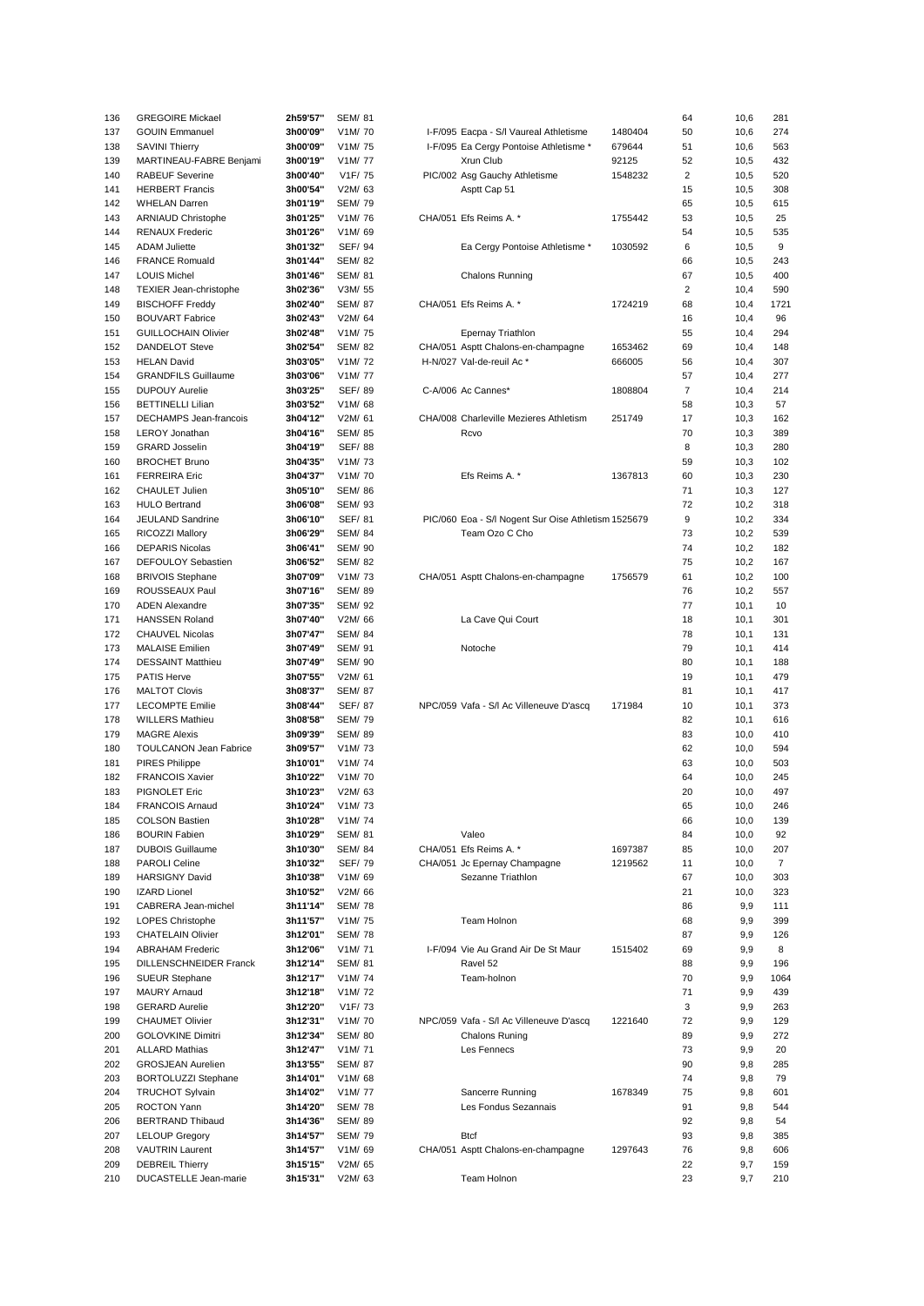| 136 | <b>GREGOIRE Mickael</b>       | 2h59'57" | <b>SEM/ 81</b> |  |                                                     |         | 64             | 10,6 | 281            |
|-----|-------------------------------|----------|----------------|--|-----------------------------------------------------|---------|----------------|------|----------------|
|     |                               |          |                |  |                                                     |         |                |      |                |
| 137 | <b>GOUIN Emmanuel</b>         | 3h00'09" | V1M/70         |  | I-F/095 Eacpa - S/I Vaureal Athletisme              | 1480404 | 50             | 10,6 | 274            |
| 138 | <b>SAVINI Thierry</b>         | 3h00'09" | V1M/75         |  | I-F/095 Ea Cergy Pontoise Athletisme *              | 679644  | 51             | 10,6 | 563            |
| 139 | MARTINEAU-FABRE Benjami       | 3h00'19" | V1M/77         |  | Xrun Club                                           | 92125   | 52             | 10,5 | 432            |
| 140 | <b>RABEUF Severine</b>        | 3h00'40" | V1F/75         |  | PIC/002 Asg Gauchy Athletisme                       | 1548232 | $\overline{2}$ | 10,5 | 520            |
| 141 | <b>HERBERT Francis</b>        | 3h00'54" | V2M/ 63        |  | Asptt Cap 51                                        |         | 15             | 10,5 | 308            |
| 142 | <b>WHELAN Darren</b>          | 3h01'19" | <b>SEM/79</b>  |  |                                                     |         | 65             | 10,5 | 615            |
| 143 | <b>ARNIAUD Christophe</b>     | 3h01'25" | V1M/76         |  | CHA/051 Efs Reims A. *                              | 1755442 | 53             | 10,5 | 25             |
| 144 | <b>RENAUX Frederic</b>        | 3h01'26" | V1M/69         |  |                                                     |         | 54             | 10,5 | 535            |
| 145 | <b>ADAM Juliette</b>          | 3h01'32" | SEF/ 94        |  | Ea Cergy Pontoise Athletisme *                      | 1030592 | 6              | 10,5 | 9              |
|     |                               |          |                |  |                                                     |         |                |      |                |
| 146 | <b>FRANCE Romuald</b>         | 3h01'44" | <b>SEM/ 82</b> |  |                                                     |         | 66             | 10,5 | 243            |
| 147 | <b>LOUIS Michel</b>           | 3h01'46" | SEM/ 81        |  | <b>Chalons Running</b>                              |         | 67             | 10,5 | 400            |
| 148 | <b>TEXIER Jean-christophe</b> | 3h02'36" | V3M/ 55        |  |                                                     |         | $\overline{2}$ | 10,4 | 590            |
| 149 | <b>BISCHOFF Freddy</b>        | 3h02'40" | <b>SEM/ 87</b> |  | CHA/051 Efs Reims A. *                              | 1724219 | 68             | 10,4 | 1721           |
| 150 | <b>BOUVART Fabrice</b>        | 3h02'43" | V2M/ 64        |  |                                                     |         | 16             | 10,4 | 96             |
| 151 | <b>GUILLOCHAIN Olivier</b>    | 3h02'48" | V1M/75         |  | Epernay Triathlon                                   |         | 55             | 10,4 | 294            |
| 152 | <b>DANDELOT Steve</b>         | 3h02'54" | <b>SEM/ 82</b> |  | CHA/051 Asptt Chalons-en-champagne                  | 1653462 | 69             | 10,4 | 148            |
| 153 | <b>HELAN David</b>            | 3h03'05" | V1M/72         |  | H-N/027 Val-de-reuil Ac*                            | 666005  | 56             | 10,4 | 307            |
| 154 | <b>GRANDFILS Guillaume</b>    | 3h03'06" | V1M/77         |  |                                                     |         | 57             | 10,4 | 277            |
|     |                               |          |                |  |                                                     |         |                |      |                |
| 155 | <b>DUPOUY Aurelie</b>         | 3h03'25" | SEF/ 89        |  | C-A/006 Ac Cannes*                                  | 1808804 | 7              | 10,4 | 214            |
| 156 | <b>BETTINELLI Lilian</b>      | 3h03'52" | V1M/68         |  |                                                     |         | 58             | 10,3 | 57             |
| 157 | DECHAMPS Jean-francois        | 3h04'12" | V2M/ 61        |  | CHA/008 Charleville Mezieres Athletism              | 251749  | 17             | 10,3 | 162            |
| 158 | <b>LEROY Jonathan</b>         | 3h04'16" | <b>SEM/ 85</b> |  | Rcvo                                                |         | 70             | 10,3 | 389            |
| 159 | <b>GRARD Josselin</b>         | 3h04'19" | SEF/ 88        |  |                                                     |         | 8              | 10,3 | 280            |
| 160 | <b>BROCHET Bruno</b>          | 3h04'35" | V1M/73         |  |                                                     |         | 59             | 10,3 | 102            |
| 161 | <b>FERREIRA Eric</b>          | 3h04'37" | V1M/70         |  | Efs Reims A. *                                      | 1367813 | 60             | 10,3 | 230            |
| 162 | <b>CHAULET Julien</b>         | 3h05'10" | <b>SEM/ 86</b> |  |                                                     |         | 71             | 10,3 | 127            |
|     | <b>HULO Bertrand</b>          | 3h06'08" |                |  |                                                     |         | 72             |      |                |
| 163 |                               |          | SEM/ 93        |  |                                                     |         |                | 10,2 | 318            |
| 164 | <b>JEULAND Sandrine</b>       | 3h06'10" | SEF/ 81        |  | PIC/060 Eoa - S/I Nogent Sur Oise Athletism 1525679 |         | 9              | 10,2 | 334            |
| 165 | RICOZZI Mallory               | 3h06'29" | SEM/ 84        |  | Team Ozo C Cho                                      |         | 73             | 10,2 | 539            |
| 166 | <b>DEPARIS Nicolas</b>        | 3h06'41" | <b>SEM/ 90</b> |  |                                                     |         | 74             | 10,2 | 182            |
| 167 | DEFOULOY Sebastien            | 3h06'52" | <b>SEM/ 82</b> |  |                                                     |         | 75             | 10,2 | 167            |
| 168 | <b>BRIVOIS Stephane</b>       | 3h07'09" | V1M/73         |  | CHA/051 Asptt Chalons-en-champagne                  | 1756579 | 61             | 10,2 | 100            |
| 169 | ROUSSEAUX Paul                | 3h07'16" | <b>SEM/ 89</b> |  |                                                     |         | 76             | 10,2 | 557            |
| 170 | <b>ADEN Alexandre</b>         | 3h07'35" | <b>SEM/ 92</b> |  |                                                     |         | 77             | 10,1 | 10             |
| 171 | <b>HANSSEN Roland</b>         | 3h07'40" | V2M/ 66        |  | La Cave Qui Court                                   |         | 18             | 10,1 | 301            |
|     |                               | 3h07'47" |                |  |                                                     |         | 78             |      |                |
| 172 | <b>CHAUVEL Nicolas</b>        |          | <b>SEM/ 84</b> |  |                                                     |         |                | 10,1 | 131            |
| 173 | <b>MALAISE Emilien</b>        | 3h07'49" | SEM/ 91        |  | Notoche                                             |         | 79             | 10,1 | 414            |
| 174 | <b>DESSAINT Matthieu</b>      | 3h07'49" | <b>SEM/ 90</b> |  |                                                     |         | 80             | 10,1 | 188            |
| 175 | <b>PATIS Herve</b>            | 3h07'55" | V2M/ 61        |  |                                                     |         | 19             | 10,1 | 479            |
| 176 | <b>MALTOT Clovis</b>          | 3h08'37" | SEM/ 87        |  |                                                     |         | 81             | 10,1 | 417            |
| 177 | <b>LECOMPTE Emilie</b>        | 3h08'44" | SEF/ 87        |  | NPC/059 Vafa - S/I Ac Villeneuve D'ascq             | 171984  | 10             | 10,1 | 373            |
| 178 | <b>WILLERS Mathieu</b>        | 3h08'58" | <b>SEM/ 79</b> |  |                                                     |         | 82             | 10,1 | 616            |
| 179 | <b>MAGRE Alexis</b>           | 3h09'39" | <b>SEM/ 89</b> |  |                                                     |         | 83             | 10,0 | 410            |
| 180 | <b>TOULCANON Jean Fabrice</b> | 3h09'57" | V1M/73         |  |                                                     |         | 62             | 10,0 | 594            |
|     | <b>PIRES Philippe</b>         | 3h10'01" |                |  |                                                     |         | 63             |      | 503            |
| 181 |                               |          | V1M/74         |  |                                                     |         |                | 10,0 |                |
| 182 | <b>FRANCOIS Xavier</b>        | 3h10'22" | V1M/70         |  |                                                     |         | 64             | 10,0 | 245            |
| 183 | PIGNOLET Eric                 | 3h10'23" | V2M/ 63        |  |                                                     |         | 20             | 10,0 | 497            |
| 184 | <b>FRANCOIS Arnaud</b>        | 3h10'24" | V1M/73         |  |                                                     |         | 65             | 10,0 | 246            |
| 185 | <b>COLSON Bastien</b>         | 3h10'28" | V1M/74         |  |                                                     |         | 66             | 10,0 | 139            |
| 186 | <b>BOURIN Fabien</b>          | 3h10'29" | SEM/ 81        |  | Valeo                                               |         | 84             | 10,0 | 92             |
| 187 | <b>DUBOIS Guillaume</b>       | 3h10'30" | <b>SEM/ 84</b> |  | CHA/051 Efs Reims A. *                              | 1697387 | 85             | 10,0 | 207            |
| 188 | <b>PAROLI Celine</b>          | 3h10'32" | SEF/ 79        |  | CHA/051 Jc Epernay Champagne                        | 1219562 | 11             | 10,0 | $\overline{7}$ |
| 189 | <b>HARSIGNY David</b>         | 3h10'38" | V1M/69         |  | Sezanne Triathlon                                   |         | 67             | 10,0 | 303            |
| 190 | <b>IZARD Lionel</b>           | 3h10'52" | V2M/ 66        |  |                                                     |         | 21             | 10,0 | 323            |
|     |                               |          |                |  |                                                     |         |                |      |                |
| 191 | CABRERA Jean-michel           | 3h11'14" | <b>SEM/78</b>  |  |                                                     |         | 86             | 9,9  | 111            |
| 192 | <b>LOPES Christophe</b>       | 3h11'57" | V1M/75         |  | Team Holnon                                         |         | 68             | 9,9  | 399            |
| 193 | <b>CHATELAIN Olivier</b>      | 3h12'01" | <b>SEM/78</b>  |  |                                                     |         | 87             | 9,9  | 126            |
| 194 | <b>ABRAHAM Frederic</b>       | 3h12'06" | V1M/71         |  | I-F/094 Vie Au Grand Air De St Maur                 | 1515402 | 69             | 9,9  | 8              |
| 195 | <b>DILLENSCHNEIDER Franck</b> | 3h12'14" | SEM/ 81        |  | Ravel 52                                            |         | 88             | 9,9  | 196            |
| 196 | <b>SUEUR Stephane</b>         | 3h12'17" | V1M/74         |  | Team-holnon                                         |         | 70             | 9,9  | 1064           |
| 197 | <b>MAURY Arnaud</b>           | 3h12'18" | V1M/72         |  |                                                     |         | 71             | 9,9  | 439            |
| 198 | <b>GERARD Aurelie</b>         | 3h12'20" | V1F/73         |  |                                                     |         | 3              | 9,9  | 263            |
| 199 | <b>CHAUMET Olivier</b>        | 3h12'31" | V1M/70         |  | NPC/059 Vafa - S/l Ac Villeneuve D'ascq             | 1221640 | 72             | 9,9  | 129            |
|     |                               |          |                |  |                                                     |         |                |      |                |
| 200 | <b>GOLOVKINE Dimitri</b>      | 3h12'34" | <b>SEM/ 80</b> |  | <b>Chalons Runing</b>                               |         | 89             | 9,9  | 272            |
| 201 | <b>ALLARD Mathias</b>         | 3h12'47" | V1M/71         |  | Les Fennecs                                         |         | 73             | 9,9  | 20             |
| 202 | <b>GROSJEAN Aurelien</b>      | 3h13'55" | <b>SEM/ 87</b> |  |                                                     |         | 90             | 9,8  | 285            |
| 203 | <b>BORTOLUZZI Stephane</b>    | 3h14'01" | V1M/68         |  |                                                     |         | 74             | 9,8  | 79             |
| 204 | <b>TRUCHOT Sylvain</b>        | 3h14'02" | V1M/77         |  | Sancerre Running                                    | 1678349 | 75             | 9,8  | 601            |
| 205 | ROCTON Yann                   | 3h14'20" | <b>SEM/78</b>  |  | Les Fondus Sezannais                                |         | 91             | 9,8  | 544            |
| 206 | <b>BERTRAND Thibaud</b>       | 3h14'36" | <b>SEM/ 89</b> |  |                                                     |         | 92             | 9,8  | 54             |
| 207 | <b>LELOUP Gregory</b>         | 3h14'57" | <b>SEM/79</b>  |  | <b>Btcf</b>                                         |         | 93             | 9,8  | 385            |
| 208 | <b>VAUTRIN Laurent</b>        | 3h14'57" | V1M/ 69        |  | CHA/051 Asptt Chalons-en-champagne                  | 1297643 | 76             | 9,8  | 606            |
|     |                               |          |                |  |                                                     |         |                |      |                |
| 209 | <b>DEBREIL Thierry</b>        | 3h15'15" | V2M/ 65        |  |                                                     |         | 22             | 9,7  | 159            |
| 210 | DUCASTELLE Jean-marie         | 3h15'31" | V2M/ 63        |  | Team Holnon                                         |         | 23             | 9,7  | 210            |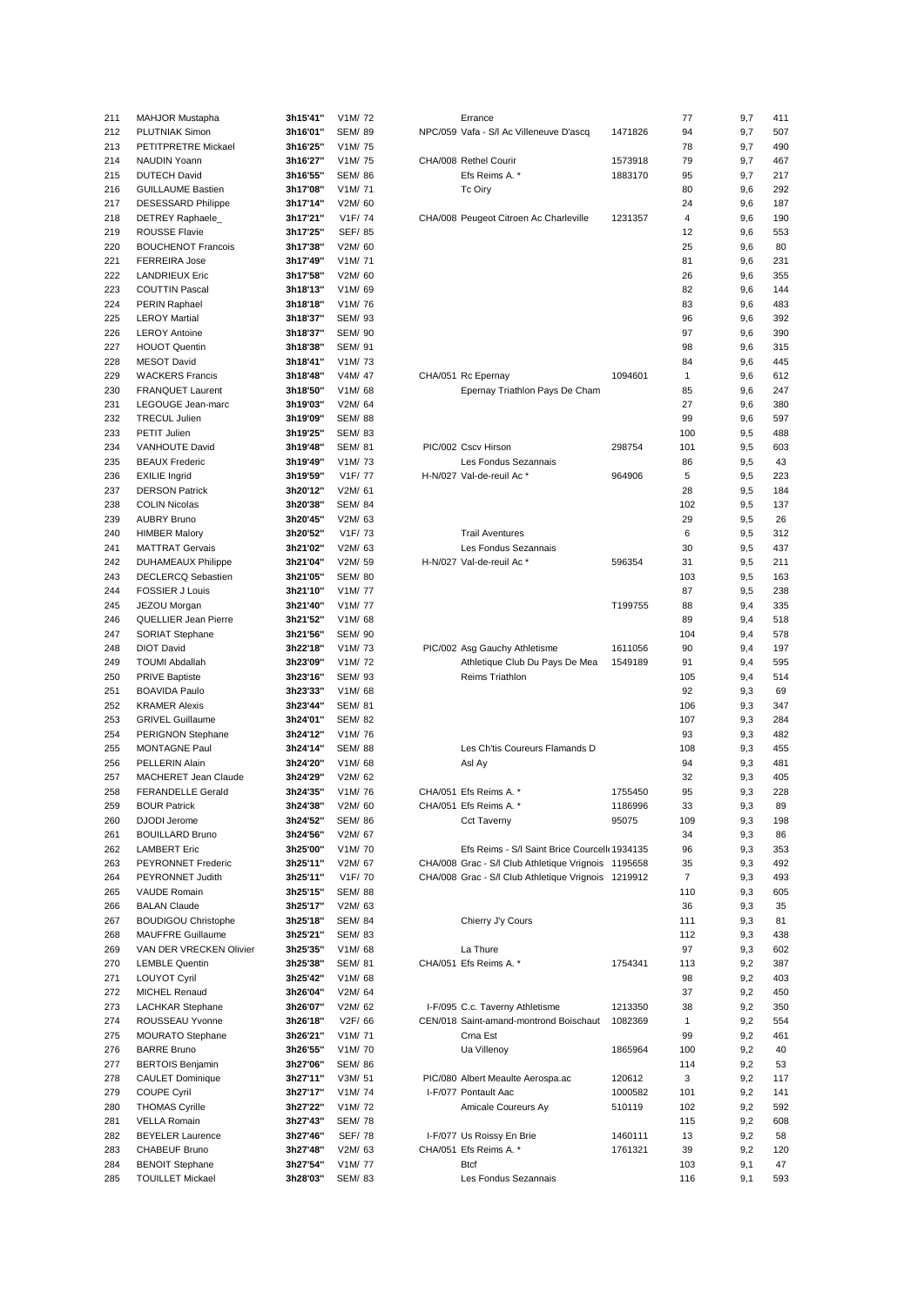| 211 | <b>MAHJOR Mustapha</b>      | 3h15'41" | V1M/72              |  | Errance                                             |         | 77           | 9,7 | 411             |
|-----|-----------------------------|----------|---------------------|--|-----------------------------------------------------|---------|--------------|-----|-----------------|
| 212 | PLUTNIAK Simon              | 3h16'01" | <b>SEM/ 89</b>      |  | NPC/059 Vafa - S/I Ac Villeneuve D'ascq             | 1471826 | 94           | 9,7 | 507             |
|     |                             | 3h16'25" |                     |  |                                                     |         |              |     |                 |
| 213 | PETITPRETRE Mickael         |          | V1M/75              |  |                                                     |         | 78           | 9,7 | 49 <sub>C</sub> |
| 214 | NAUDIN Yoann                | 3h16'27" | V1M/75              |  | CHA/008 Rethel Courir                               | 1573918 | 79           | 9,7 | 467             |
| 215 | <b>DUTECH David</b>         | 3h16'55" | <b>SEM/ 86</b>      |  | Efs Reims A. *                                      | 1883170 | 95           | 9,7 | 217             |
| 216 | <b>GUILLAUME Bastien</b>    | 3h17'08" | V1M/71              |  | Tc Oiry                                             |         | 80           | 9,6 | 292             |
| 217 | <b>DESESSARD Philippe</b>   | 3h17'14" | V2M/ 60             |  |                                                     |         | 24           | 9,6 | 187             |
| 218 | DETREY Raphaele_            | 3h17'21" | V1F/74              |  | CHA/008 Peugeot Citroen Ac Charleville              | 1231357 | 4            | 9,6 | 190             |
|     |                             |          |                     |  |                                                     |         |              |     |                 |
| 219 | ROUSSE Flavie               | 3h17'25" | SEF/ 85             |  |                                                     |         | 12           | 9,6 | 553             |
| 220 | <b>BOUCHENOT Francois</b>   | 3h17'38" | V2M/ 60             |  |                                                     |         | 25           | 9,6 | 80              |
| 221 | <b>FERREIRA Jose</b>        | 3h17'49" | V1M/71              |  |                                                     |         | 81           | 9,6 | 231             |
| 222 | <b>LANDRIEUX Eric</b>       | 3h17'58" | V2M/ 60             |  |                                                     |         | 26           | 9,6 | 355             |
|     | <b>COUTTIN Pascal</b>       | 3h18'13" |                     |  |                                                     |         |              |     | 144             |
| 223 |                             |          | V1M/69              |  |                                                     |         | 82           | 9,6 |                 |
| 224 | PERIN Raphael               | 3h18'18" | V1M/76              |  |                                                     |         | 83           | 9,6 | 483             |
| 225 | <b>LEROY Martial</b>        | 3h18'37" | <b>SEM/ 93</b>      |  |                                                     |         | 96           | 9,6 | 392             |
| 226 | <b>LEROY Antoine</b>        | 3h18'37" | <b>SEM/ 90</b>      |  |                                                     |         | 97           | 9,6 | 390             |
| 227 | <b>HOUOT Quentin</b>        | 3h18'38" | SEM/ 91             |  |                                                     |         | 98           | 9,6 | 315             |
|     |                             |          |                     |  |                                                     |         |              |     |                 |
| 228 | <b>MESOT David</b>          | 3h18'41" | V1M/73              |  |                                                     |         | 84           | 9,6 | 445             |
| 229 | <b>WACKERS Francis</b>      | 3h18'48" | V4M/ 47             |  | CHA/051 Rc Epernay                                  | 1094601 | $\mathbf{1}$ | 9,6 | 612             |
| 230 | <b>FRANQUET Laurent</b>     | 3h18'50" | V1M/68              |  | Epernay Triathlon Pays De Cham                      |         | 85           | 9,6 | 247             |
| 231 | LEGOUGE Jean-marc           | 3h19'03" | V2M/ 64             |  |                                                     |         | 27           | 9,6 | 380             |
| 232 | <b>TRECUL Julien</b>        | 3h19'09" | <b>SEM/ 88</b>      |  |                                                     |         | 99           |     | 597             |
|     |                             |          |                     |  |                                                     |         |              | 9,6 |                 |
| 233 | PETIT Julien                | 3h19'25" | <b>SEM/83</b>       |  |                                                     |         | 100          | 9,5 | 488             |
| 234 | VANHOUTE David              | 3h19'48" | <b>SEM/ 81</b>      |  | PIC/002 Cscv Hirson                                 | 298754  | 101          | 9,5 | 603             |
| 235 | <b>BEAUX Frederic</b>       | 3h19'49" | V1M/73              |  | Les Fondus Sezannais                                |         | 86           | 9,5 | 43              |
| 236 | <b>EXILIE Ingrid</b>        | 3h19'59" | V1F/77              |  | H-N/027 Val-de-reuil Ac*                            | 964906  | 5            | 9,5 | 223             |
|     |                             |          |                     |  |                                                     |         |              |     |                 |
| 237 | <b>DERSON Patrick</b>       | 3h20'12" | V2M/ 61             |  |                                                     |         | 28           | 9,5 | 184             |
| 238 | <b>COLIN Nicolas</b>        | 3h20'38" | <b>SEM/ 84</b>      |  |                                                     |         | 102          | 9,5 | 137             |
| 239 | <b>AUBRY Bruno</b>          | 3h20'45" | V2M/ 63             |  |                                                     |         | 29           | 9,5 | 26              |
| 240 | <b>HIMBER Malory</b>        | 3h20'52" | V1F/73              |  | <b>Trail Aventures</b>                              |         | 6            | 9,5 | 312             |
| 241 | <b>MATTRAT Gervais</b>      | 3h21'02" | V2M/ 63             |  | Les Fondus Sezannais                                |         | 30           | 9,5 | 437             |
|     |                             |          |                     |  |                                                     |         |              |     |                 |
| 242 | <b>DUHAMEAUX Philippe</b>   | 3h21'04" | V2M/ 59             |  | H-N/027 Val-de-reuil Ac*                            | 596354  | 31           | 9,5 | 211             |
| 243 | <b>DECLERCQ Sebastien</b>   | 3h21'05" | <b>SEM/ 80</b>      |  |                                                     |         | 103          | 9,5 | 163             |
| 244 | <b>FOSSIER J Louis</b>      | 3h21'10" | V1M/77              |  |                                                     |         | 87           | 9,5 | 238             |
| 245 | JEZOU Morgan                | 3h21'40" | V1M/77              |  |                                                     | T199755 | 88           | 9,4 | 335             |
|     |                             |          |                     |  |                                                     |         |              |     | 518             |
| 246 | <b>QUELLIER Jean Pierre</b> | 3h21'52" | V1M/68              |  |                                                     |         | 89           | 9,4 |                 |
| 247 | <b>SORIAT Stephane</b>      | 3h21'56" | <b>SEM/ 90</b>      |  |                                                     |         | 104          | 9,4 | 578             |
| 248 | <b>DIOT David</b>           | 3h22'18" | V1M/73              |  | PIC/002 Asg Gauchy Athletisme                       | 1611056 | 90           | 9,4 | 197             |
| 249 | <b>TOUMI Abdallah</b>       | 3h23'09" | V1M/72              |  | Athletique Club Du Pays De Mea                      | 1549189 | 91           | 9,4 | 595             |
| 250 | <b>PRIVE Baptiste</b>       | 3h23'16" | <b>SEM/ 93</b>      |  | Reims Triathlon                                     |         | 105          | 9,4 | 514             |
|     |                             |          |                     |  |                                                     |         |              |     |                 |
| 251 | <b>BOAVIDA Paulo</b>        | 3h23'33" | V1M/68              |  |                                                     |         | 92           | 9,3 | 69              |
| 252 | <b>KRAMER Alexis</b>        | 3h23'44" | <b>SEM/ 81</b>      |  |                                                     |         | 106          | 9,3 | 347             |
| 253 | <b>GRIVEL Guillaume</b>     | 3h24'01" | <b>SEM/82</b>       |  |                                                     |         | 107          | 9,3 | 284             |
| 254 | PERIGNON Stephane           | 3h24'12" | V1M/76              |  |                                                     |         | 93           | 9,3 | 482             |
|     |                             |          |                     |  |                                                     |         |              |     |                 |
| 255 | <b>MONTAGNE Paul</b>        | 3h24'14" | <b>SEM/ 88</b>      |  | Les Ch'tis Coureurs Flamands D                      |         | 108          | 9,3 | 455             |
| 256 | PELLERIN Alain              | 3h24'20" | V1M/68              |  | Asl Ay                                              |         | 94           | 9,3 | 481             |
| 257 | <b>MACHERET Jean Claude</b> | 3h24'29" | V2M/ 62             |  |                                                     |         | 32           | 9,3 | 405             |
| 258 | <b>FERANDELLE Gerald</b>    | 3h24'35" | V1M/76              |  | CHA/051 Efs Reims A. *                              | 1755450 | 95           | 9,3 | 228             |
| 259 | <b>BOUR Patrick</b>         | 3h24'38" | V2M/ 60             |  | CHA/051 Efs Reims A. *                              | 1186996 | 33           | 9,3 | 89              |
|     |                             |          |                     |  |                                                     |         |              |     |                 |
| 260 | DJODI Jerome                | 3h24'52" | <b>SEM/ 86</b>      |  | <b>Cct Taverny</b>                                  | 95075   | 109          | 9,3 | 198             |
| 261 | <b>BOUILLARD Bruno</b>      | 3h24'56" | V2M/ 67             |  |                                                     |         | 34           | 9,3 | 86              |
| 262 | <b>LAMBERT Eric</b>         | 3h25'00" | V1M/70              |  | Efs Reims - S/I Saint Brice Courcell 1934135        |         | 96           | 9,3 | 353             |
| 263 | PEYRONNET Frederic          | 3h25'11" | V2M/ 67             |  | CHA/008 Grac - S/I Club Athletique Vrignois 1195658 |         | 35           | 9,3 | 492             |
|     |                             |          |                     |  |                                                     |         |              |     | 493             |
| 264 | PEYRONNET Judith            | 3h25'11" | V1F/70              |  | CHA/008 Grac - S/I Club Athletique Vrignois 1219912 |         | 7            | 9,3 |                 |
| 265 | VAUDE Romain                | 3h25'15" | <b>SEM/ 88</b>      |  |                                                     |         | 110          | 9,3 | 605             |
| 266 | <b>BALAN Claude</b>         | 3h25'17" | V2M/ 63             |  |                                                     |         | 36           | 9,3 | 35              |
| 267 | <b>BOUDIGOU Christophe</b>  | 3h25'18" | <b>SEM/ 84</b>      |  | Chierry J'y Cours                                   |         | 111          | 9,3 | 81              |
| 268 | MAUFFRE Guillaume           | 3h25'21" | <b>SEM/ 83</b>      |  |                                                     |         | 112          | 9,3 | 438             |
|     |                             |          |                     |  |                                                     |         |              |     |                 |
| 269 | VAN DER VRECKEN Olivier     | 3h25'35" | V1M/68              |  | La Thure                                            |         | 97           | 9,3 | 602             |
| 270 | <b>LEMBLE Quentin</b>       | 3h25'38" | SEM/ 81             |  | CHA/051 Efs Reims A. *                              | 1754341 | 113          | 9,2 | 387             |
| 271 | <b>LOUYOT Cyril</b>         | 3h25'42" | V1M/68              |  |                                                     |         | 98           | 9,2 | 403             |
| 272 | <b>MICHEL Renaud</b>        | 3h26'04" | V2M/ 64             |  |                                                     |         | 37           | 9,2 | 45C             |
| 273 | <b>LACHKAR Stephane</b>     | 3h26'07" | V2M/ 62             |  | I-F/095 C.c. Taverny Athletisme                     | 1213350 | 38           | 9,2 | 350             |
|     |                             |          |                     |  |                                                     |         |              |     |                 |
| 274 | ROUSSEAU Yvonne             | 3h26'18" | V2F/ 66             |  | CEN/018 Saint-amand-montrond Boischaut              | 1082369 | 1            | 9,2 | 554             |
| 275 | <b>MOURATO Stephane</b>     | 3h26'21" | V <sub>1</sub> M/71 |  | Crna Est                                            |         | 99           | 9,2 | 461             |
| 276 | <b>BARRE Bruno</b>          | 3h26'55" | V1M/70              |  | Ua Villenoy                                         | 1865964 | 100          | 9,2 | 40              |
| 277 | <b>BERTOIS Benjamin</b>     | 3h27'06" | <b>SEM/ 86</b>      |  |                                                     |         | 114          | 9,2 | 53              |
|     |                             | 3h27'11" |                     |  |                                                     |         |              |     | 117             |
| 278 | <b>CAULET Dominique</b>     |          | V3M/ 51             |  | PIC/080 Albert Meaulte Aerospa.ac                   | 120612  | 3            | 9,2 |                 |
| 279 | <b>COUPE Cyril</b>          | 3h27'17" | V1M/74              |  | I-F/077 Pontault Aac                                | 1000582 | 101          | 9,2 | 141             |
| 280 | <b>THOMAS Cyrille</b>       | 3h27'22" | V1M/72              |  | Amicale Coureurs Ay                                 | 510119  | 102          | 9,2 | 592             |
| 281 | <b>VELLA Romain</b>         | 3h27'43" | <b>SEM/78</b>       |  |                                                     |         | 115          | 9,2 | 608             |
| 282 | <b>BEYELER Laurence</b>     | 3h27'46" | SEF/ 78             |  | I-F/077 Us Roissy En Brie                           | 1460111 | 13           | 9,2 | 58              |
|     |                             |          |                     |  |                                                     |         |              |     |                 |
| 283 | CHABEUF Bruno               | 3h27'48" | V2M/ 63             |  | CHA/051 Efs Reims A. *                              | 1761321 | 39           | 9,2 | 120             |
| 284 | <b>BENOIT Stephane</b>      | 3h27'54" | V1M/77              |  | <b>Btcf</b>                                         |         | 103          | 9,1 | 47              |
| 285 | <b>TOUILLET Mickael</b>     | 3h28'03" | <b>SEM/ 83</b>      |  | Les Fondus Sezannais                                |         | 116          | 9,1 | 593             |
|     |                             |          |                     |  |                                                     |         |              |     |                 |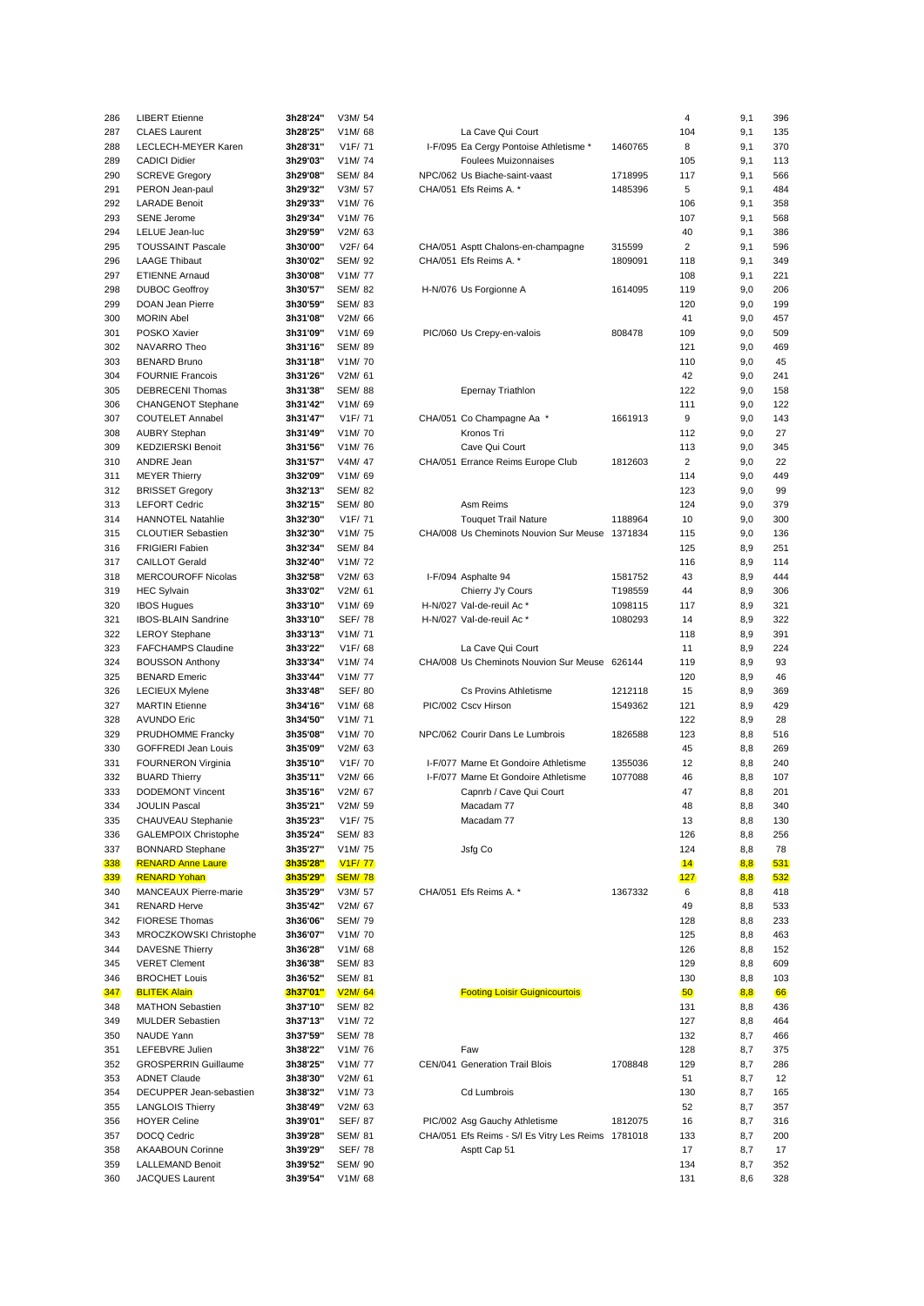| 286 | <b>LIBERT Etienne</b>       | 3h28'24"         | V3M/ 54              |  |
|-----|-----------------------------|------------------|----------------------|--|
| 287 | <b>CLAES Laurent</b>        | 3h28'25"         | V1M/68               |  |
| 288 | LECLECH-MEYER Karen         | 3h28'31"         | V1F/71               |  |
| 289 | <b>CADICI Didier</b>        | 3h29'03"         | V1M/74               |  |
| 290 | <b>SCREVE Gregory</b>       | 3h29'08"         | <b>SEM/ 84</b>       |  |
| 291 | PERON Jean-paul             | 3h29'32"         | V3M/ 57              |  |
| 292 | <b>LARADE Benoit</b>        | 3h29'33"         | V1M/76               |  |
|     |                             |                  |                      |  |
| 293 | <b>SENE Jerome</b>          | 3h29'34"         | V1M/76               |  |
| 294 | LELUE Jean-luc              | 3h29'59"         | V2M/ 63              |  |
| 295 | <b>TOUSSAINT Pascale</b>    | 3h30'00"         | V <sub>2F</sub> /64  |  |
| 296 | <b>LAAGE Thibaut</b>        | 3h30'02"         | <b>SEM/ 92</b>       |  |
| 297 | <b>ETIENNE Arnaud</b>       | 3h30'08"         | V1M/77               |  |
| 298 | <b>DUBOC Geoffroy</b>       | 3h30'57"         | <b>SEM/ 82</b>       |  |
| 299 | DOAN Jean Pierre            | 3h30'59"         | <b>SEM/ 83</b>       |  |
| 300 | <b>MORIN Abel</b>           | 3h31'08"         | V2M/ 66              |  |
| 301 | POSKO Xavier                | 3h31'09"         | V1M/69               |  |
|     |                             |                  |                      |  |
| 302 | NAVARRO Theo                | 3h31'16"         | <b>SEM/ 89</b>       |  |
| 303 | <b>BENARD Bruno</b>         | 3h31'18"         | V1M/70               |  |
| 304 | <b>FOURNIE Francois</b>     | 3h31'26"         | V2M/ 61              |  |
| 305 | <b>DEBRECENI Thomas</b>     | 3h31'38"         | <b>SEM/ 88</b>       |  |
| 306 | <b>CHANGENOT Stephane</b>   | 3h31'42"         | V1M/ 69              |  |
| 307 | <b>COUTELET Annabel</b>     | 3h31'47"         | V <sub>1</sub> F/ 71 |  |
| 308 | <b>AUBRY Stephan</b>        | 3h31'49"         | V1M/70               |  |
| 309 | <b>KEDZIERSKI Benoit</b>    | 3h31'56"         | V1M/76               |  |
| 310 | <b>ANDRE Jean</b>           | 3h31'57"         | V4M/ 47              |  |
| 311 | <b>MEYER Thierry</b>        | 3h32'09"         | V1M/69               |  |
|     |                             | 3h32'13"         |                      |  |
| 312 | <b>BRISSET Gregory</b>      |                  | <b>SEM/ 82</b>       |  |
| 313 | <b>LEFORT Cedric</b>        | 3h32'15"         | <b>SEM/ 80</b>       |  |
| 314 | <b>HANNOTEL Natahlie</b>    | 3h32'30"         | V1F/71               |  |
| 315 | <b>CLOUTIER Sebastien</b>   | 3h32'30"         | V1M/75               |  |
| 316 | <b>FRIGIERI Fabien</b>      | 3h32'34"         | <b>SEM/ 84</b>       |  |
| 317 | <b>CAILLOT Gerald</b>       | 3h32'40"         | V1M/72               |  |
| 318 | <b>MERCOUROFF Nicolas</b>   | 3h32'58"         | V2M/ 63              |  |
| 319 | <b>HEC Sylvain</b>          | 3h33'02"         | V2M/ 61              |  |
| 320 | <b>IBOS Hugues</b>          | 3h33'10"         | V1M/69               |  |
| 321 | <b>IBOS-BLAIN Sandrine</b>  | 3h33'10"         | <b>SEF/78</b>        |  |
|     |                             | 3h33'13"         | V1M/71               |  |
| 322 | <b>LEROY Stephane</b>       |                  |                      |  |
| 323 | <b>FAFCHAMPS Claudine</b>   | 3h33'22"         | V1F/68               |  |
| 324 | <b>BOUSSON Anthony</b>      | 3h33'34"         | V1M/74               |  |
| 325 | <b>BENARD Emeric</b>        | 3h33'44"         | V1M/77               |  |
| 326 | <b>LECIEUX Mylene</b>       | 3h33'48"         | SEF/ 80              |  |
| 327 | <b>MARTIN Etienne</b>       | 3h34'16"         | V1M/68               |  |
| 328 | <b>AVUNDO Eric</b>          | 3h34'50"         | V1M/71               |  |
| 329 | PRUDHOMME Francky           | 3h35'08"         | V1M/70               |  |
| 330 | <b>GOFFREDI Jean Louis</b>  | 3h35'09"         | V2M/ 63              |  |
| 331 | <b>FOURNERON Virginia</b>   | 3h35'10"         | V <sub>1F</sub> / 70 |  |
| 332 | <b>BUARD Thierry</b>        | 3h35'11"         | V2M/ 66              |  |
| 333 | <b>DODEMONT Vincent</b>     | 3h35'16"         | V2M/ 67              |  |
|     | <b>JOULIN Pascal</b>        | 3h35'21"         |                      |  |
| 334 |                             |                  | V2M/ 59              |  |
| 335 | CHAUVEAU Stephanie          | 3h35'23"         | V1F/75               |  |
| 336 | GALEMPOIX Christophe        | 3h35'24"         | <b>SEM/83</b>        |  |
| 337 | <b>BONNARD Stephane</b>     | 3h35'27"         | V1M/75               |  |
| 338 | <b>RENARD Anne Laure</b>    | 3h35'28"         | <b>V1F/77</b>        |  |
|     |                             |                  |                      |  |
| 339 | <b>RENARD Yohan</b>         | 3h35'29" SEM/ 78 |                      |  |
| 340 | MANCEAUX Pierre-marie       | 3h35'29"         | V3M/ 57              |  |
| 341 |                             |                  |                      |  |
|     | <b>RENARD Herve</b>         | 3h35'42"         | V2M/ 67              |  |
| 342 | <b>FIORESE Thomas</b>       | 3h36'06"         | <b>SEM/79</b>        |  |
| 343 | MROCZKOWSKI Christophe      | 3h36'07"         | V1M/70               |  |
| 344 | <b>DAVESNE Thierry</b>      | 3h36'28"         | V1M/68               |  |
| 345 | <b>VERET Clement</b>        | 3h36'38"         | <b>SEM/ 83</b>       |  |
| 346 | <b>BROCHET Louis</b>        | 3h36'52"         | <b>SEM/ 81</b>       |  |
| 347 | <b>BLITEK Alain</b>         | 3h37'01"         | V <sub>2</sub> M/64  |  |
| 348 | <b>MATHON Sebastien</b>     | 3h37'10"         | <b>SEM/ 82</b>       |  |
| 349 | <b>MULDER Sebastien</b>     | 3h37'13"         | V1M/72               |  |
| 350 | NAUDE Yann                  | 3h37'59"         | <b>SEM/78</b>        |  |
| 351 | LEFEBVRE Julien             | 3h38'22"         | V1M/76               |  |
|     |                             |                  |                      |  |
| 352 | <b>GROSPERRIN Guillaume</b> | 3h38'25"         | V1M/77               |  |
| 353 | <b>ADNET Claude</b>         | 3h38'30"         | V2M/ 61              |  |
| 354 | DECUPPER Jean-sebastien     | 3h38'32"         | V1M/73               |  |
| 355 | <b>LANGLOIS Thierry</b>     | 3h38'49"         | V2M/ 63              |  |
| 356 | <b>HOYER Celine</b>         | 3h39'01"         | SEF/ 87              |  |
| 357 | DOCQ Cedric                 | 3h39'28"         | <b>SEM/ 81</b>       |  |
| 358 | <b>AKAABOUN Corinne</b>     | 3h39'29"         | <b>SEF/78</b>        |  |
| 359 | <b>LALLEMAND Benoit</b>     | 3h39'52"         | <b>SEM/ 90</b>       |  |
| 360 | <b>JACQUES Laurent</b>      | 3h39'54"         | V1M/68               |  |

| 286        | <b>LIBERT</b> Etienne       | 3h28'24" | V3M/ 54              |  |                                                    |         | 4              | 9,1 | 396        |
|------------|-----------------------------|----------|----------------------|--|----------------------------------------------------|---------|----------------|-----|------------|
| 287        | <b>CLAES Laurent</b>        | 3h28'25" | V1M/68               |  | La Cave Qui Court                                  |         | 104            | 9,1 | 135        |
| 288        | LECLECH-MEYER Karen         | 3h28'31" | V <sub>1</sub> F/ 71 |  | I-F/095 Ea Cergy Pontoise Athletisme *             | 1460765 | 8              | 9,1 | 370        |
| 289        | <b>CADICI Didier</b>        | 3h29'03" | V1M/74               |  | <b>Foulees Muizonnaises</b>                        |         | 105            | 9,1 | 113        |
| 290        | <b>SCREVE Gregory</b>       | 3h29'08" | <b>SEM/ 84</b>       |  | NPC/062 Us Biache-saint-vaast                      | 1718995 | 117            | 9,1 | 566        |
|            |                             |          |                      |  |                                                    |         |                |     |            |
| 291        | PERON Jean-paul             | 3h29'32" | V3M/ 57              |  | CHA/051 Efs Reims A. *                             | 1485396 | 5              | 9,1 | 484        |
| 292        | <b>LARADE Benoit</b>        | 3h29'33" | V1M/76               |  |                                                    |         | 106            | 9,1 | 358        |
| 293        | <b>SENE Jerome</b>          | 3h29'34" | V1M/76               |  |                                                    |         | 107            | 9,1 | 568        |
| 294        | LELUE Jean-luc              | 3h29'59" | V2M/ 63              |  |                                                    |         | 40             | 9,1 | 386        |
| 295        | <b>TOUSSAINT Pascale</b>    | 3h30'00" | V2F/ 64              |  | CHA/051 Asptt Chalons-en-champagne                 | 315599  | 2              | 9,1 | 596        |
| 296        | <b>LAAGE Thibaut</b>        | 3h30'02" | <b>SEM/ 92</b>       |  | CHA/051 Efs Reims A. *                             | 1809091 | 118            | 9,1 | 349        |
| 297        | <b>ETIENNE Arnaud</b>       | 3h30'08" | V1M/77               |  |                                                    |         | 108            | 9,1 | 221        |
| 298        | <b>DUBOC Geoffroy</b>       | 3h30'57" | <b>SEM/ 82</b>       |  | H-N/076 Us Forgionne A                             | 1614095 | 119            | 9,0 | 206        |
|            |                             |          |                      |  |                                                    |         |                |     |            |
| 299        | DOAN Jean Pierre            | 3h30'59" | <b>SEM/ 83</b>       |  |                                                    |         | 120            | 9,0 | 199        |
| 300        | <b>MORIN Abel</b>           | 3h31'08" | V2M/ 66              |  |                                                    |         | 41             | 9,0 | 457        |
| 301        | POSKO Xavier                | 3h31'09" | V1M/69               |  | PIC/060 Us Crepy-en-valois                         | 808478  | 109            | 9,0 | 509        |
| 302        | NAVARRO Theo                | 3h31'16" | <b>SEM/ 89</b>       |  |                                                    |         | 121            | 9,0 | 469        |
| 303        | <b>BENARD Bruno</b>         | 3h31'18" | V1M/70               |  |                                                    |         | 110            | 9,0 | 45         |
| 304        | <b>FOURNIE Francois</b>     | 3h31'26" | V2M/ 61              |  |                                                    |         | 42             | 9,0 | 241        |
| 305        | <b>DEBRECENI Thomas</b>     | 3h31'38" | <b>SEM/ 88</b>       |  | Epernay Triathlon                                  |         | 122            | 9,0 | 158        |
|            |                             |          |                      |  |                                                    |         |                |     |            |
| 306        | <b>CHANGENOT Stephane</b>   | 3h31'42" | V1M/69               |  |                                                    |         | 111            | 9,0 | 122        |
| 307        | <b>COUTELET Annabel</b>     | 3h31'47" | V <sub>1</sub> F/ 71 |  | CHA/051 Co Champagne Aa *                          | 1661913 | 9              | 9,0 | 143        |
| 308        | <b>AUBRY Stephan</b>        | 3h31'49" | V1M/70               |  | Kronos Tri                                         |         | 112            | 9,0 | 27         |
| 309        | <b>KEDZIERSKI Benoit</b>    | 3h31'56" | V1M/76               |  | Cave Qui Court                                     |         | 113            | 9,0 | 345        |
| 310        | ANDRE Jean                  | 3h31'57" | V4M/47               |  | CHA/051 Errance Reims Europe Club                  | 1812603 | $\overline{2}$ | 9,0 | 22         |
| 311        | <b>MEYER Thierry</b>        | 3h32'09" | V1M/69               |  |                                                    |         | 114            | 9,0 | 449        |
| 312        | <b>BRISSET Gregory</b>      | 3h32'13" | <b>SEM/82</b>        |  |                                                    |         | 123            | 9,0 | 99         |
|            |                             |          |                      |  |                                                    |         |                |     |            |
| 313        | <b>LEFORT Cedric</b>        | 3h32'15" | <b>SEM/ 80</b>       |  | Asm Reims                                          |         | 124            | 9,0 | 379        |
| 314        | <b>HANNOTEL Natahlie</b>    | 3h32'30" | V <sub>1</sub> F/ 71 |  | <b>Touquet Trail Nature</b>                        | 1188964 | 10             | 9,0 | 300        |
| 315        | <b>CLOUTIER Sebastien</b>   | 3h32'30" | V1M/75               |  | CHA/008 Us Cheminots Nouvion Sur Meuse 1371834     |         | 115            | 9,0 | 136        |
| 316        | <b>FRIGIERI Fabien</b>      | 3h32'34" | <b>SEM/ 84</b>       |  |                                                    |         | 125            | 8,9 | 251        |
| 317        | <b>CAILLOT Gerald</b>       | 3h32'40" | V1M/72               |  |                                                    |         | 116            | 8,9 | 114        |
| 318        | <b>MERCOUROFF Nicolas</b>   | 3h32'58" | V2M/ 63              |  | I-F/094 Asphalte 94                                | 1581752 | 43             | 8,9 | 444        |
| 319        | <b>HEC Sylvain</b>          | 3h33'02" | V2M/ 61              |  | Chierry J'y Cours                                  | T198559 | 44             | 8,9 | 306        |
|            |                             | 3h33'10" | V1M/69               |  | H-N/027 Val-de-reuil Ac*                           |         | 117            |     |            |
| 320        | <b>IBOS Hugues</b>          |          |                      |  |                                                    | 1098115 |                | 8,9 | 321        |
| 321        | IBOS-BLAIN Sandrine         | 3h33'10" | SEF/ 78              |  | H-N/027 Val-de-reuil Ac*                           | 1080293 | 14             | 8,9 | 322        |
| 322        | <b>LEROY Stephane</b>       | 3h33'13" | V1M/71               |  |                                                    |         | 118            | 8,9 | 391        |
| 323        | <b>FAFCHAMPS Claudine</b>   | 3h33'22" | V1F/68               |  | La Cave Qui Court                                  |         | 11             | 8,9 | 224        |
| 324        | <b>BOUSSON Anthony</b>      | 3h33'34" | V1M/74               |  | CHA/008 Us Cheminots Nouvion Sur Meuse 626144      |         | 119            | 8,9 | 93         |
| 325        | <b>BENARD Emeric</b>        | 3h33'44" | V1M/77               |  |                                                    |         | 120            | 8,9 | 46         |
| 326        | <b>LECIEUX Mylene</b>       | 3h33'48" | SEF/ 80              |  | <b>Cs Provins Athletisme</b>                       | 1212118 | 15             | 8,9 | 369        |
|            |                             | 3h34'16" |                      |  | PIC/002 Cscv Hirson                                |         |                |     | 429        |
| 327        | <b>MARTIN Etienne</b>       |          | V1M/68               |  |                                                    | 1549362 | 121            | 8,9 |            |
| 328        | <b>AVUNDO Eric</b>          | 3h34'50" | V1M/71               |  |                                                    |         | 122            | 8,9 | 28         |
| 329        | PRUDHOMME Francky           | 3h35'08" | V1M/70               |  | NPC/062 Courir Dans Le Lumbrois                    | 1826588 | 123            | 8,8 | 516        |
| 330        | <b>GOFFREDI Jean Louis</b>  | 3h35'09" | V2M/ 63              |  |                                                    |         | 45             | 8,8 | 269        |
| 331        | FOURNERON Virginia          | 3h35'10" | V <sub>1F</sub> / 70 |  | I-F/077 Marne Et Gondoire Athletisme               | 1355036 | 12             | 8,8 | 240        |
| 332        | <b>BUARD Thierry</b>        | 3h35'11" | V2M/ 66              |  | I-F/077 Marne Et Gondoire Athletisme               | 1077088 | 46             | 8,8 | 107        |
| 333        | <b>DODEMONT Vincent</b>     | 3h35'16" | V2M/ 67              |  | Capnrb / Cave Qui Court                            |         | 47             | 8,8 | 201        |
| 334        | <b>JOULIN Pascal</b>        | 3h35'21" | V2M/ 59              |  | Macadam 77                                         |         | 48             | 8,8 | 340        |
|            |                             |          |                      |  |                                                    |         |                |     |            |
| 335        | CHAUVEAU Stephanie          | 3h35'23" | V <sub>1</sub> F/ 75 |  | Macadam 77                                         |         | 13             | 8,8 | 130        |
| 336        | <b>GALEMPOIX Christophe</b> | 3h35'24" | <b>SEM/83</b>        |  |                                                    |         | 126            | 8,8 | 256        |
| 337        | <b>BONNARD Stephane</b>     | 3h35'27" | V1M/75               |  | Jsfg Co                                            |         | 124            | 8,8 | 78         |
| <b>338</b> | <b>RENARD Anne Laure</b>    | 3h35'28" | V <sub>1</sub> F/77  |  |                                                    |         | $\sqrt{14}$    | 8,8 | <b>531</b> |
| 339        | <b>RENARD Yohan</b>         | 3h35'29" | <b>SEM/ 78</b>       |  |                                                    |         | 127            | 8,8 | 532        |
| 340        | MANCEAUX Pierre-marie       | 3h35'29" | V3M/ 57              |  | CHA/051 Efs Reims A. *                             | 1367332 | 6              | 8,8 | 418        |
| 341        | <b>RENARD Herve</b>         | 3h35'42" | V2M/ 67              |  |                                                    |         | 49             | 8,8 | 533        |
| 342        | <b>FIORESE Thomas</b>       | 3h36'06" | <b>SEM/79</b>        |  |                                                    |         | 128            | 8,8 | 233        |
|            |                             |          |                      |  |                                                    |         |                |     |            |
| 343        | MROCZKOWSKI Christophe      | 3h36'07" | V1M/70               |  |                                                    |         | 125            | 8,8 | 463        |
| 344        | <b>DAVESNE Thierry</b>      | 3h36'28" | V1M/68               |  |                                                    |         | 126            | 8,8 | 152        |
| 345        | <b>VERET Clement</b>        | 3h36'38" | <b>SEM/83</b>        |  |                                                    |         | 129            | 8,8 | 609        |
| 346        | <b>BROCHET Louis</b>        | 3h36'52" | SEM/ 81              |  |                                                    |         | 130            | 8,8 | 103        |
| 347        | <b>BLITEK Alain</b>         | 3h37'01" | V <sub>2</sub> M/64  |  | <b>Footing Loisir Guignicourtois</b>               |         | 50             | 8,8 | 66         |
| 348        | <b>MATHON Sebastien</b>     | 3h37'10" | <b>SEM/ 82</b>       |  |                                                    |         | 131            | 8,8 | 436        |
|            | <b>MULDER Sebastien</b>     | 3h37'13" | V1M/72               |  |                                                    |         |                | 8,8 |            |
| 349        |                             |          |                      |  |                                                    |         | 127            |     | 464        |
| 350        | NAUDE Yann                  | 3h37'59" | <b>SEM/78</b>        |  |                                                    |         | 132            | 8,7 | 466        |
| 351        | LEFEBVRE Julien             | 3h38'22" | V1M/76               |  | Faw                                                |         | 128            | 8,7 | 375        |
| 352        | <b>GROSPERRIN Guillaume</b> | 3h38'25" | V1M/77               |  | <b>CEN/041 Generation Trail Blois</b>              | 1708848 | 129            | 8,7 | 286        |
| 353        | <b>ADNET Claude</b>         | 3h38'30" | V2M/ 61              |  |                                                    |         | 51             | 8,7 | 12         |
| 354        | DECUPPER Jean-sebastien     | 3h38'32" | V1M/73               |  | Cd Lumbrois                                        |         | 130            | 8,7 | 165        |
| 355        | <b>LANGLOIS Thierry</b>     | 3h38'49" | V2M/ 63              |  |                                                    |         | 52             | 8,7 | 357        |
|            |                             |          |                      |  |                                                    |         |                |     |            |
| 356        | <b>HOYER Celine</b>         | 3h39'01" | SEF/ 87              |  | PIC/002 Asg Gauchy Athletisme                      | 1812075 | 16             | 8,7 | 316        |
| 357        | DOCQ Cedric                 | 3h39'28" | <b>SEM/ 81</b>       |  | CHA/051 Efs Reims - S/I Es Vitry Les Reims 1781018 |         | 133            | 8,7 | 200        |
| 358        | <b>AKAABOUN Corinne</b>     | 3h39'29" | SEF/ 78              |  | Asptt Cap 51                                       |         | 17             | 8,7 | 17         |
| 359        | <b>LALLEMAND Benoit</b>     | 3h39'52" | SEM/ 90              |  |                                                    |         | 134            | 8,7 | 352        |
| 360        | <b>JACQUES Laurent</b>      | 3h39'54" | V1M/68               |  |                                                    |         | 131            | 8,6 | 328        |
|            |                             |          |                      |  |                                                    |         |                |     |            |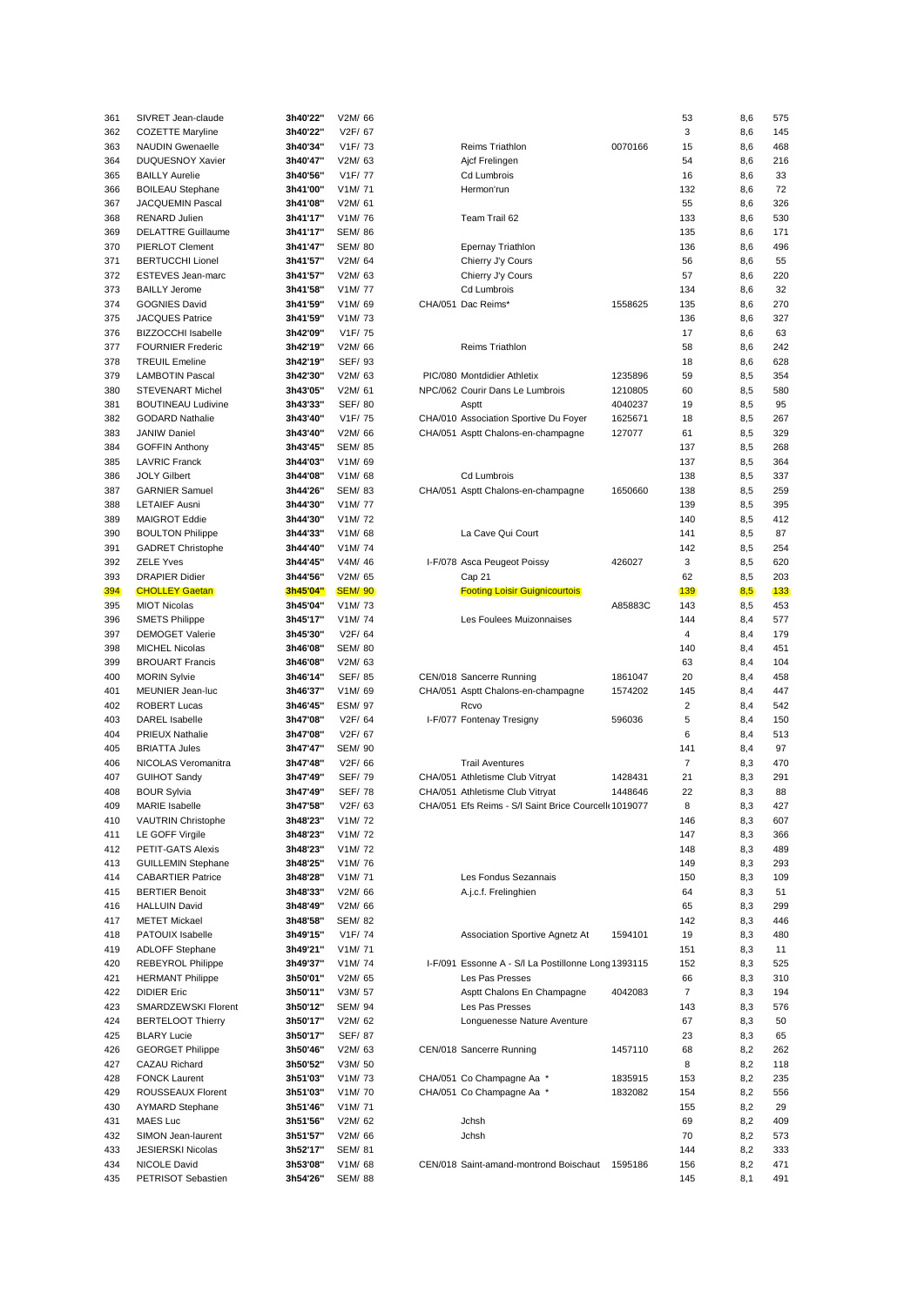| 361        | SIVRET Jean-claude        | 3h40'22" | V2M/ 66              |  |                                                      |         | 53             | 8,6        | 575       |
|------------|---------------------------|----------|----------------------|--|------------------------------------------------------|---------|----------------|------------|-----------|
| 362        | <b>COZETTE Maryline</b>   | 3h40'22" | V2F/ 67              |  |                                                      |         | 3              | 8,6        | 145       |
|            |                           | 3h40'34" |                      |  |                                                      | 0070166 |                |            |           |
| 363        | <b>NAUDIN Gwenaelle</b>   |          | V1F/73               |  | Reims Triathlon                                      |         | 15             | 8,6        | 468       |
| 364        | DUQUESNOY Xavier          | 3h40'47" | V2M/ 63              |  | Ajcf Frelingen                                       |         | 54             | 8,6        | 216       |
| 365        | <b>BAILLY Aurelie</b>     | 3h40'56" | V <sub>1</sub> F/ 77 |  | Cd Lumbrois                                          |         | 16             | 8,6        | 33        |
| 366        | <b>BOILEAU Stephane</b>   | 3h41'00" | V1M/71               |  | Hermon'run                                           |         | 132            | 8,6        | 72        |
| 367        | <b>JACQUEMIN Pascal</b>   | 3h41'08" | V2M/ 61              |  |                                                      |         | 55             | 8,6        | 326       |
| 368        | <b>RENARD Julien</b>      | 3h41'17" | V1M/76               |  | Team Trail 62                                        |         | 133            | 8,6        | 530       |
| 369        | <b>DELATTRE Guillaume</b> | 3h41'17" | <b>SEM/ 86</b>       |  |                                                      |         | 135            | 8,6        | 171       |
| 370        | PIERLOT Clement           | 3h41'47" | <b>SEM/ 80</b>       |  | <b>Epernay Triathlon</b>                             |         | 136            | 8,6        | 496       |
| 371        | <b>BERTUCCHI Lionel</b>   | 3h41'57" | V2M/ 64              |  | Chierry J'y Cours                                    |         | 56             | 8,6        | 55        |
| 372        | ESTEVES Jean-marc         | 3h41'57" | V2M/ 63              |  | Chierry J'y Cours                                    |         | 57             | 8,6        | 220       |
| 373        | <b>BAILLY Jerome</b>      | 3h41'58" | V1M/77               |  | Cd Lumbrois                                          |         | 134            | 8,6        | 32        |
| 374        | <b>GOGNIES David</b>      | 3h41'59" | V1M/69               |  | CHA/051 Dac Reims*                                   | 1558625 | 135            | 8,6        | 270       |
| 375        | <b>JACQUES Patrice</b>    | 3h41'59" | V1M/73               |  |                                                      |         | 136            | 8,6        | 327       |
| 376        | BIZZOCCHI Isabelle        | 3h42'09" | V1F/75               |  |                                                      |         | 17             | 8,6        | 63        |
|            |                           |          |                      |  |                                                      |         |                |            |           |
| 377        | <b>FOURNIER Frederic</b>  | 3h42'19" | V2M/ 66              |  | Reims Triathlon                                      |         | 58             | 8,6        | 242       |
| 378        | <b>TREUIL Emeline</b>     | 3h42'19" | SEF/ 93              |  |                                                      |         | 18             | 8,6        | 628       |
| 379        | <b>LAMBOTIN Pascal</b>    | 3h42'30" | V2M/ 63              |  | PIC/080 Montdidier Athletix                          | 1235896 | 59             | 8,5        | 354       |
| 380        | <b>STEVENART Michel</b>   | 3h43'05" | V2M/ 61              |  | NPC/062 Courir Dans Le Lumbrois                      | 1210805 | 60             | 8,5        | 580       |
| 381        | <b>BOUTINEAU Ludivine</b> | 3h43'33" | SEF/ 80              |  | Asptt                                                | 4040237 | 19             | 8,5        | 95        |
| 382        | <b>GODARD Nathalie</b>    | 3h43'40" | V1F/75               |  | CHA/010 Association Sportive Du Foyer                | 1625671 | 18             | 8,5        | 267       |
| 383        | <b>JANIW Daniel</b>       | 3h43'40" | V2M/ 66              |  | CHA/051 Asptt Chalons-en-champagne                   | 127077  | 61             | 8,5        | 329       |
| 384        | <b>GOFFIN Anthony</b>     | 3h43'45" | <b>SEM/ 85</b>       |  |                                                      |         | 137            | 8,5        | 268       |
| 385        | <b>LAVRIC Franck</b>      | 3h44'03" | V1M/69               |  |                                                      |         | 137            | 8,5        | 364       |
| 386        | <b>JOLY Gilbert</b>       | 3h44'08" | V1M/68               |  | <b>Cd Lumbrois</b>                                   |         | 138            | 8,5        | 337       |
| 387        | <b>GARNIER Samuel</b>     | 3h44'26" | <b>SEM/ 83</b>       |  | CHA/051 Asptt Chalons-en-champagne                   | 1650660 | 138            | 8,5        | 259       |
| 388        | <b>LETAIEF Ausni</b>      | 3h44'30" | V1M/77               |  |                                                      |         | 139            | 8,5        | 395       |
| 389        | <b>MAIGROT Eddie</b>      | 3h44'30" | V1M/72               |  |                                                      |         | 140            | 8,5        | 412       |
| 390        | <b>BOULTON Philippe</b>   | 3h44'33" | V1M/68               |  | La Cave Qui Court                                    |         | 141            | 8,5        | 87        |
| 391        | <b>GADRET Christophe</b>  | 3h44'40" | V1M/74               |  |                                                      |         | 142            | 8,5        | 254       |
| 392        | <b>ZELE Yves</b>          | 3h44'45" | V4M/46               |  | I-F/078 Asca Peugeot Poissy                          | 426027  | 3              | 8,5        | 620       |
| 393        | <b>DRAPIER Didier</b>     | 3h44'56" | V2M/ 65              |  | Cap 21                                               |         | 62             | 8,5        | 203       |
| 394        | <b>CHOLLEY Gaetan</b>     | 3h45'04" | <b>SEM/ 90</b>       |  | <b>Footing Loisir Guignicourtois</b>                 |         | <b>139</b>     | 8,5        | 133       |
| 395        | <b>MIOT Nicolas</b>       | 3h45'04" |                      |  |                                                      | A85883C | 143            |            | 453       |
|            |                           |          | V1M/73               |  |                                                      |         |                | 8,5        |           |
| 396        | <b>SMETS Philippe</b>     | 3h45'17" | V1M/74               |  | Les Foulees Muizonnaises                             |         | 144            | 8,4        | 577       |
| 397        | <b>DEMOGET Valerie</b>    | 3h45'30" | V2F/ 64              |  |                                                      |         | 4              | 8,4        | 179       |
| 398        | <b>MICHEL Nicolas</b>     | 3h46'08" | <b>SEM/ 80</b>       |  |                                                      |         | 140            | 8,4        | 451       |
| 399        | <b>BROUART Francis</b>    | 3h46'08" | V2M/ 63              |  |                                                      |         | 63             | 8,4        | 104       |
| 400        | <b>MORIN Sylvie</b>       | 3h46'14" | SEF/ 85              |  | CEN/018 Sancerre Running                             | 1861047 | 20             | 8,4        | 458       |
| 401        | MEUNIER Jean-luc          | 3h46'37" | V1M/69               |  | CHA/051 Asptt Chalons-en-champagne                   | 1574202 | 145            | 8,4        | 447       |
| 402        | <b>ROBERT Lucas</b>       | 3h46'45" | ESM/ 97              |  | Rcvo                                                 |         | $\overline{2}$ | 8,4        | 542       |
| 403        | <b>DAREL</b> Isabelle     | 3h47'08" | V <sub>2F</sub> /64  |  | I-F/077 Fontenay Tresigny                            | 596036  | 5              | 8,4        | 150       |
| 404        | <b>PRIEUX Nathalie</b>    | 3h47'08" | V2F/ 67              |  |                                                      |         | 6              | 8,4        | 513       |
| 405        | <b>BRIATTA Jules</b>      | 3h47'47" | <b>SEM/ 90</b>       |  |                                                      |         | 141            | 8,4        | 97        |
| 406        | NICOLAS Veromanitra       | 3h47'48" | V2F/ 66              |  | <b>Trail Aventures</b>                               |         | 7              | 8,3        | 470       |
| 407        | <b>GUIHOT Sandy</b>       | 3h47'49" | SEF/ 79              |  | CHA/051 Athletisme Club Vitryat                      | 1428431 | 21             | 8,3        | 291       |
| 408        | <b>BOUR Sylvia</b>        | 3h47'49" | <b>SEF/78</b>        |  | CHA/051 Athletisme Club Vitryat                      | 1448646 | 22             | 8,3        | 88        |
| 409        | <b>MARIE</b> Isabelle     | 3h47'58" | V <sub>2F</sub> /63  |  | CHA/051 Efs Reims - S/I Saint Brice Courcell 1019077 |         | 8              | 8,3        | 427       |
| 410        | <b>VAUTRIN Christophe</b> | 3h48'23" | V1M/72               |  |                                                      |         | 146            | 8,3        | 607       |
| 411        | LE GOFF Virgile           | 3h48'23" | V1M/72               |  |                                                      |         | 147            | 8,3        | 366       |
| 412        | PETIT-GATS Alexis         | 3h48'23" | V1M/72               |  |                                                      |         | 148            | 8,3        | 489       |
| 413        | <b>GUILLEMIN Stephane</b> | 3h48'25" | V1M/76               |  |                                                      |         | 149            | 8,3        | 293       |
|            | <b>CABARTIER Patrice</b>  | 3h48'28" | V1M/71               |  | Les Fondus Sezannais                                 |         |                |            |           |
| 414<br>415 | <b>BERTIER Benoit</b>     | 3h48'33" | V2M/ 66              |  | A.j.c.f. Frelinghien                                 |         | 150<br>64      | 8,3<br>8,3 | 109<br>51 |
|            |                           |          |                      |  |                                                      |         |                |            |           |
| 416        | <b>HALLUIN David</b>      | 3h48'49" | V2M/ 66              |  |                                                      |         | 65             | 8,3        | 299       |
| 417        | <b>METET Mickael</b>      | 3h48'58" | <b>SEM/ 82</b>       |  |                                                      |         | 142            | 8,3        | 446       |
| 418        | PATOUIX Isabelle          | 3h49'15" | V1F/74               |  | Association Sportive Agnetz At                       | 1594101 | 19             | 8,3        | 480       |
| 419        | <b>ADLOFF Stephane</b>    | 3h49'21" | V1M/71               |  |                                                      |         | 151            | 8,3        | 11        |
| 420        | <b>REBEYROL Philippe</b>  | 3h49'37" | V1M/74               |  | I-F/091 Essonne A - S/I La Postillonne Long 1393115  |         | 152            | 8,3        | 525       |
| 421        | <b>HERMANT Philippe</b>   | 3h50'01" | V2M/ 65              |  | Les Pas Presses                                      |         | 66             | 8,3        | 310       |
| 422        | <b>DIDIER Eric</b>        | 3h50'11" | V3M/ 57              |  | Asptt Chalons En Champagne                           | 4042083 | 7              | 8,3        | 194       |
| 423        | SMARDZEWSKI Florent       | 3h50'12" | SEM/ 94              |  | Les Pas Presses                                      |         | 143            | 8,3        | 576       |
| 424        | <b>BERTELOOT Thierry</b>  | 3h50'17" | V2M/ 62              |  | Longuenesse Nature Aventure                          |         | 67             | 8,3        | 50        |
| 425        | <b>BLARY Lucie</b>        | 3h50'17" | SEF/ 87              |  |                                                      |         | 23             | 8,3        | 65        |
| 426        | <b>GEORGET Philippe</b>   | 3h50'46" | V2M/ 63              |  | CEN/018 Sancerre Running                             | 1457110 | 68             | 8,2        | 262       |
| 427        | CAZAU Richard             | 3h50'52" | V3M/ 50              |  |                                                      |         | 8              | 8,2        | 118       |
| 428        | <b>FONCK Laurent</b>      | 3h51'03" | V1M/73               |  | CHA/051 Co Champagne Aa *                            | 1835915 | 153            | 8,2        | 235       |
| 429        | ROUSSEAUX Florent         | 3h51'03" | V1M/70               |  | CHA/051 Co Champagne Aa *                            | 1832082 | 154            | 8,2        | 556       |
| 430        | <b>AYMARD Stephane</b>    | 3h51'46" | V1M/71               |  |                                                      |         | 155            | 8,2        | 29        |
| 431        | MAES Luc                  | 3h51'56" | V2M/ 62              |  | Jchsh                                                |         | 69             | 8,2        | 409       |
| 432        | SIMON Jean-laurent        | 3h51'57" | V2M/ 66              |  | Jchsh                                                |         | 70             | 8,2        | 573       |
| 433        | <b>JESIERSKI Nicolas</b>  | 3h52'17" | <b>SEM/ 81</b>       |  |                                                      |         | 144            | 8,2        | 333       |
| 434        | NICOLE David              | 3h53'08" | V1M/68               |  | CEN/018 Saint-amand-montrond Boischaut               | 1595186 | 156            | 8,2        | 471       |
| 435        | PETRISOT Sebastien        | 3h54'26" | <b>SEM/ 88</b>       |  |                                                      |         | 145            | 8,1        | 491       |
|            |                           |          |                      |  |                                                      |         |                |            |           |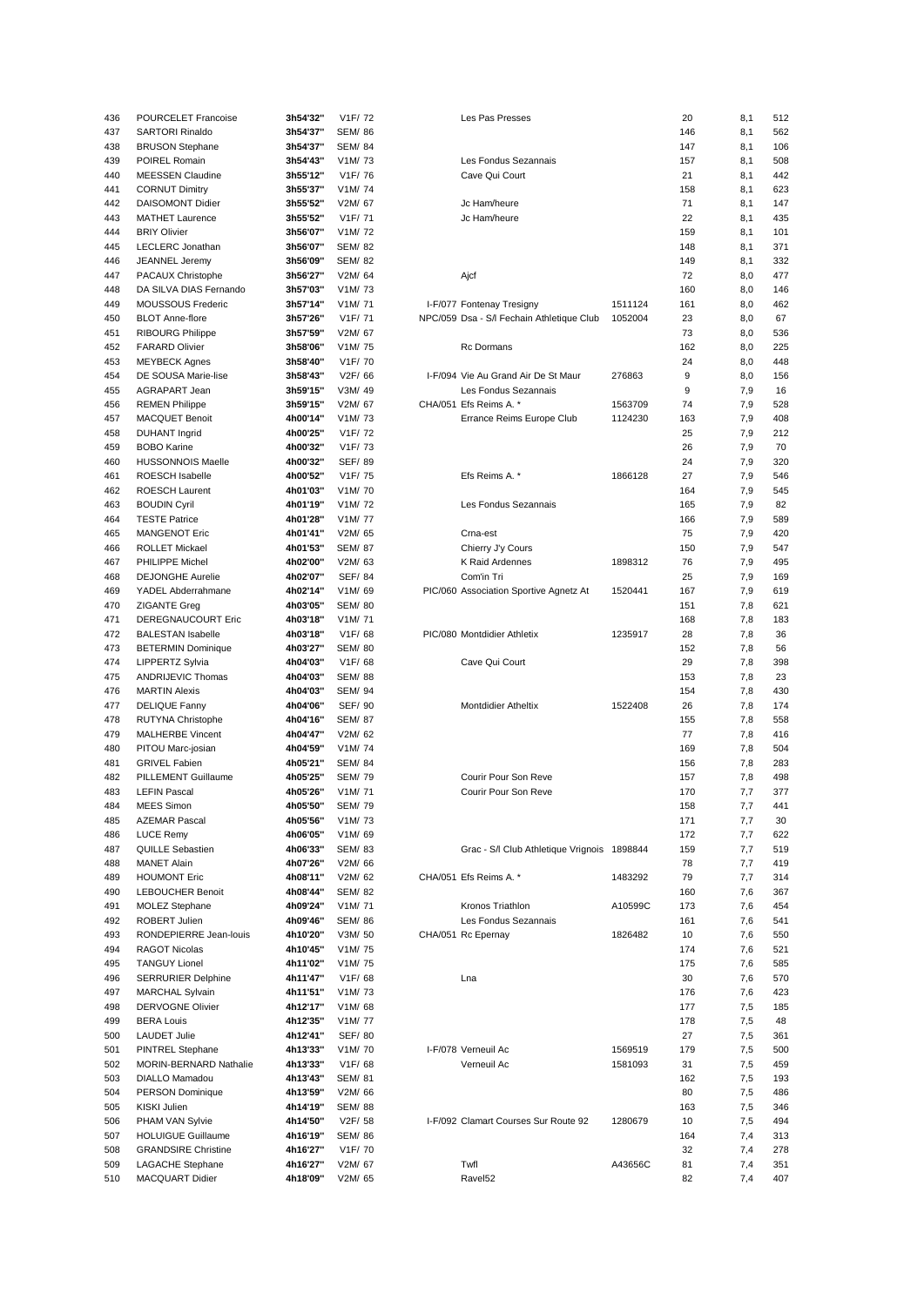| 436 | <b>POURCELET Francoise</b> | 3h54'32"             | V <sub>1</sub> F/72  |  | Les Pas Presses                             |         | 20  | 8,1 | 512 |
|-----|----------------------------|----------------------|----------------------|--|---------------------------------------------|---------|-----|-----|-----|
| 437 | <b>SARTORI Rinaldo</b>     | 3h54'37"             | <b>SEM/ 86</b>       |  |                                             |         | 146 | 8,1 | 562 |
| 438 | <b>BRUSON Stephane</b>     | 3h54'37"             | <b>SEM/ 84</b>       |  |                                             |         | 147 | 8,1 | 106 |
| 439 | POIREL Romain              | 3h54'43"             | V1M/73               |  | Les Fondus Sezannais                        |         | 157 | 8,1 | 508 |
| 440 | <b>MEESSEN Claudine</b>    | 3h55'12"             | V1F/76               |  | Cave Qui Court                              |         | 21  |     | 442 |
|     |                            |                      |                      |  |                                             |         |     | 8,1 |     |
| 441 | <b>CORNUT Dimitry</b>      | 3h55'37"             | V1M/74               |  |                                             |         | 158 | 8,1 | 623 |
| 442 | <b>DAISOMONT Didier</b>    | 3h55'52"             | V2M/ 67              |  | Jc Ham/heure                                |         | 71  | 8,1 | 147 |
| 443 | <b>MATHET Laurence</b>     | 3h55'52"             | V1F/71               |  | Jc Ham/heure                                |         | 22  | 8,1 | 435 |
| 444 | <b>BRIY Olivier</b>        | 3h56'07"             | V1M/72               |  |                                             |         | 159 | 8,1 | 101 |
| 445 | LECLERC Jonathan           | 3h56'07"             | <b>SEM/ 82</b>       |  |                                             |         | 148 | 8,1 | 371 |
| 446 | JEANNEL Jeremy             | 3h56'09"             | <b>SEM/ 82</b>       |  |                                             |         | 149 | 8,1 | 332 |
| 447 | PACAUX Christophe          | 3h56'27"             | V2M/ 64              |  | Ajcf                                        |         | 72  | 8,0 | 477 |
| 448 | DA SILVA DIAS Fernando     | 3h57'03"             | V1M/73               |  |                                             |         | 160 | 8,0 | 146 |
| 449 | MOUSSOUS Frederic          | 3h57'14"             | V1M/71               |  | I-F/077 Fontenay Tresigny                   | 1511124 | 161 | 8,0 | 462 |
| 450 | <b>BLOT Anne-flore</b>     | 3h57'26"             | V <sub>1F</sub> / 71 |  | NPC/059 Dsa - S/I Fechain Athletique Club   | 1052004 | 23  | 8,0 | 67  |
| 451 | <b>RIBOURG Philippe</b>    | 3h57'59"             | V2M/ 67              |  |                                             |         | 73  | 8,0 | 536 |
|     |                            |                      |                      |  |                                             |         | 162 |     |     |
| 452 | <b>FARARD Olivier</b>      | 3h58'06"             | V1M/75               |  | <b>Rc Dormans</b>                           |         |     | 8,0 | 225 |
| 453 | <b>MEYBECK Agnes</b>       | 3h58'40"             | V1F/70               |  |                                             |         | 24  | 8,0 | 448 |
| 454 | DE SOUSA Marie-lise        | 3h58'43"             | V2F/ 66              |  | I-F/094 Vie Au Grand Air De St Maur         | 276863  | 9   | 8,0 | 156 |
| 455 | AGRAPART Jean              | 3h59'15"             | V3M/49               |  | Les Fondus Sezannais                        |         | 9   | 7,9 | 16  |
| 456 | <b>REMEN Philippe</b>      | 3h59'15"             | V2M/ 67              |  | CHA/051 Efs Reims A. *                      | 1563709 | 74  | 7,9 | 528 |
| 457 | <b>MACQUET Benoit</b>      | 4h00'14"             | V1M/73               |  | Errance Reims Europe Club                   | 1124230 | 163 | 7,9 | 408 |
| 458 | <b>DUHANT Ingrid</b>       | 4h00'25"             | V1F/72               |  |                                             |         | 25  | 7,9 | 212 |
| 459 | <b>BOBO Karine</b>         | 4h00'32"             | V1F/73               |  |                                             |         | 26  | 7,9 | 70  |
| 460 | <b>HUSSONNOIS Maelle</b>   | 4h00'32"             | <b>SEF/89</b>        |  |                                             |         | 24  | 7,9 | 320 |
| 461 | ROESCH Isabelle            | 4h00'52"             | V1F/75               |  | Efs Reims A. *                              | 1866128 | 27  | 7,9 | 546 |
| 462 | <b>ROESCH Laurent</b>      | 4h01'03"             | V1M/70               |  |                                             |         | 164 | 7,9 | 545 |
|     |                            |                      |                      |  |                                             |         |     |     |     |
| 463 | <b>BOUDIN Cyril</b>        | 4h01'19"             | V1M/72               |  | Les Fondus Sezannais                        |         | 165 | 7,9 | 82  |
| 464 | <b>TESTE Patrice</b>       | 4h01'28"             | V1M/77               |  |                                             |         | 166 | 7,9 | 589 |
| 465 | <b>MANGENOT Eric</b>       | 4h01'41"             | V2M/ 65              |  | Crna-est                                    |         | 75  | 7,9 | 420 |
| 466 | <b>ROLLET Mickael</b>      | 4h01'53"             | <b>SEM/ 87</b>       |  | Chierry J'y Cours                           |         | 150 | 7,9 | 547 |
| 467 | PHILIPPE Michel            | 4h02'00"             | V2M/ 63              |  | K Raid Ardennes                             | 1898312 | 76  | 7,9 | 495 |
| 468 | <b>DEJONGHE Aurelie</b>    | 4h02'07"             | SEF/ 84              |  | Com'in Tri                                  |         | 25  | 7,9 | 169 |
| 469 | YADEL Abderrahmane         | 4h02'14"             | V1M/69               |  | PIC/060 Association Sportive Agnetz At      | 1520441 | 167 | 7,9 | 619 |
| 470 | ZIGANTE Greg               | 4h03'05"             | <b>SEM/ 80</b>       |  |                                             |         | 151 | 7,8 | 621 |
| 471 | DEREGNAUCOURT Eric         | 4h03'18"             | V1M/71               |  |                                             |         | 168 | 7,8 | 183 |
| 472 | <b>BALESTAN Isabelle</b>   | 4h03'18"             | V1F/68               |  | PIC/080 Montdidier Athletix                 | 1235917 | 28  | 7,8 | 36  |
| 473 | <b>BETERMIN Dominique</b>  | 4h03'27"             | <b>SEM/ 80</b>       |  |                                             |         | 152 | 7,8 | 56  |
| 474 | LIPPERTZ Sylvia            | 4h04'03"             | V1F/68               |  | Cave Qui Court                              |         | 29  | 7,8 | 398 |
|     |                            | 4h04'03"             |                      |  |                                             |         |     |     |     |
| 475 | <b>ANDRIJEVIC Thomas</b>   |                      | <b>SEM/ 88</b>       |  |                                             |         | 153 | 7,8 | 23  |
| 476 | <b>MARTIN Alexis</b>       | 4h04'03"             | <b>SEM/ 94</b>       |  |                                             |         | 154 | 7,8 | 430 |
| 477 | <b>DELIQUE Fanny</b>       | 4h04'06"             | SEF/ 90              |  | <b>Montdidier Atheltix</b>                  | 1522408 | 26  | 7,8 | 174 |
| 478 | <b>RUTYNA Christophe</b>   | 4h04'16"             | <b>SEM/ 87</b>       |  |                                             |         | 155 | 7,8 | 558 |
| 479 | <b>MALHERBE Vincent</b>    | 4h04'47"             | V2M/ 62              |  |                                             |         | 77  | 7,8 | 416 |
| 480 | PITOU Marc-josian          | 4h04'59"             | V1M/74               |  |                                             |         | 169 | 7,8 | 504 |
| 481 | <b>GRIVEL Fabien</b>       | 4h05'21"             | <b>SEM/ 84</b>       |  |                                             |         | 156 | 7,8 | 283 |
| 482 | PILLEMENT Guillaume        | 4h05'25"             | <b>SEM/79</b>        |  | Courir Pour Son Reve                        |         | 157 | 7,8 | 498 |
| 483 | <b>LEFIN Pascal</b>        | 4h05'26"             | V1M/71               |  | Courir Pour Son Reve                        |         | 170 | 7,7 | 377 |
| 484 | <b>MEES Simon</b>          | 4h05'50"             | <b>SEM/ 79</b>       |  |                                             |         | 158 | 7,7 | 441 |
| 485 | <b>AZEMAR Pascal</b>       | 4h05'56"             | V1M/73               |  |                                             |         | 171 | 7,7 | 30  |
| 486 | <b>LUCE Remy</b>           | 4h06'05"             | V1M/69               |  |                                             |         | 172 | 7,7 | 622 |
| 487 | QUILLE Sebastien           | 4h06'33"             | <b>SEM/ 83</b>       |  | Grac - S/I Club Athletique Vrignois 1898844 |         | 159 | 7,7 | 519 |
|     |                            |                      |                      |  |                                             |         | 78  |     |     |
| 488 | <b>MANET Alain</b>         | 4h07'26"<br>4h08'11" | V2M/ 66              |  | CHA/051 Efs Reims A. *                      | 1483292 |     | 7,7 | 419 |
| 489 | <b>HOUMONT Eric</b>        |                      | V2M/ 62              |  |                                             |         | 79  | 7,7 | 314 |
| 490 | <b>LEBOUCHER Benoit</b>    | 4h08'44"             | <b>SEM/ 82</b>       |  |                                             |         | 160 | 7,6 | 367 |
| 491 | <b>MOLEZ Stephane</b>      | 4h09'24"             | V1M/71               |  | Kronos Triathlon                            | A10599C | 173 | 7,6 | 454 |
| 492 | ROBERT Julien              | 4h09'46"             | <b>SEM/ 86</b>       |  | Les Fondus Sezannais                        |         | 161 | 7,6 | 541 |
| 493 | RONDEPIERRE Jean-louis     | 4h10'20"             | V3M/ 50              |  | CHA/051 Rc Epernay                          | 1826482 | 10  | 7,6 | 550 |
| 494 | <b>RAGOT Nicolas</b>       | 4h10'45"             | V1M/75               |  |                                             |         | 174 | 7,6 | 521 |
| 495 | <b>TANGUY Lionel</b>       | 4h11'02"             | V1M/75               |  |                                             |         | 175 | 7,6 | 585 |
| 496 | <b>SERRURIER Delphine</b>  | 4h11'47"             | V1F/68               |  | Lna                                         |         | 30  | 7,6 | 570 |
| 497 | <b>MARCHAL Sylvain</b>     | 4h11'51"             | V1M/73               |  |                                             |         | 176 | 7,6 | 423 |
| 498 | <b>DERVOGNE Olivier</b>    | 4h12'17"             | V1M/68               |  |                                             |         | 177 | 7,5 | 185 |
| 499 | <b>BERA Louis</b>          | 4h12'35"             | V1M/77               |  |                                             |         | 178 | 7,5 | 48  |
| 500 | <b>LAUDET Julie</b>        | 4h12'41"             | SEF/ 80              |  |                                             |         | 27  | 7,5 | 361 |
| 501 | PINTREL Stephane           | 4h13'33"             | V1M/70               |  | I-F/078 Verneuil Ac                         | 1569519 | 179 | 7,5 | 500 |
|     |                            |                      |                      |  |                                             |         |     |     |     |
| 502 | MORIN-BERNARD Nathalie     | 4h13'33"             | V1F/68               |  | Verneuil Ac                                 | 1581093 | 31  | 7,5 | 459 |
| 503 | <b>DIALLO Mamadou</b>      | 4h13'43"             | SEM/ 81              |  |                                             |         | 162 | 7,5 | 193 |
| 504 | PERSON Dominique           | 4h13'59"             | V2M/ 66              |  |                                             |         | 80  | 7,5 | 486 |
| 505 | KISKI Julien               | 4h14'19"             | <b>SEM/ 88</b>       |  |                                             |         | 163 | 7,5 | 346 |
| 506 | PHAM VAN Sylvie            | 4h14'50"             | V2F/ 58              |  | I-F/092 Clamart Courses Sur Route 92        | 1280679 | 10  | 7,5 | 494 |
| 507 | <b>HOLUIGUE Guillaume</b>  | 4h16'19"             | <b>SEM/ 86</b>       |  |                                             |         | 164 | 7,4 | 313 |
| 508 | <b>GRANDSIRE Christine</b> | 4h16'27"             | V1F/70               |  |                                             |         | 32  | 7,4 | 278 |
| 509 | LAGACHE Stephane           | 4h16'27"             | V2M/ 67              |  | Twfl                                        | A43656C | 81  | 7,4 | 351 |
| 510 | MACQUART Didier            | 4h18'09"             | V2M/ 65              |  | Ravel52                                     |         | 82  | 7,4 | 407 |
|     |                            |                      |                      |  |                                             |         |     |     |     |